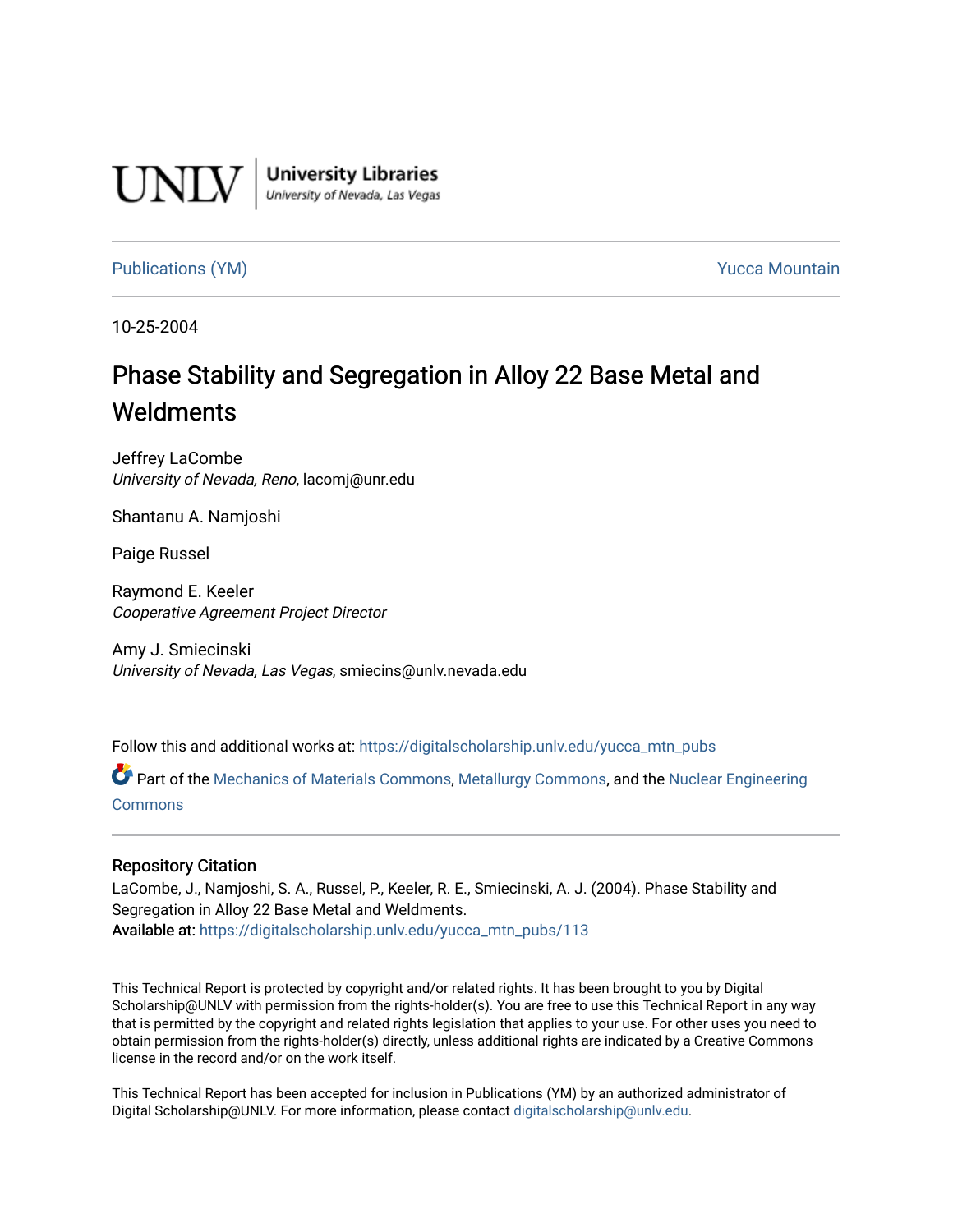

**University Libraries**<br>University of Nevada, Las Vegas

#### [Publications \(YM\)](https://digitalscholarship.unlv.edu/yucca_mtn_pubs) **Publications (YM) Publications (YM) Publications** (*YM*)

10-25-2004

# Phase Stability and Segregation in Alloy 22 Base Metal and **Weldments**

Jeffrey LaCombe University of Nevada, Reno, lacomj@unr.edu

Shantanu A. Namjoshi

Paige Russel

Raymond E. Keeler Cooperative Agreement Project Director

Amy J. Smiecinski University of Nevada, Las Vegas, smiecins@unlv.nevada.edu

Follow this and additional works at: [https://digitalscholarship.unlv.edu/yucca\\_mtn\\_pubs](https://digitalscholarship.unlv.edu/yucca_mtn_pubs?utm_source=digitalscholarship.unlv.edu%2Fyucca_mtn_pubs%2F113&utm_medium=PDF&utm_campaign=PDFCoverPages)

Part of the [Mechanics of Materials Commons](http://network.bepress.com/hgg/discipline/283?utm_source=digitalscholarship.unlv.edu%2Fyucca_mtn_pubs%2F113&utm_medium=PDF&utm_campaign=PDFCoverPages), [Metallurgy Commons,](http://network.bepress.com/hgg/discipline/288?utm_source=digitalscholarship.unlv.edu%2Fyucca_mtn_pubs%2F113&utm_medium=PDF&utm_campaign=PDFCoverPages) and the [Nuclear Engineering](http://network.bepress.com/hgg/discipline/314?utm_source=digitalscholarship.unlv.edu%2Fyucca_mtn_pubs%2F113&utm_medium=PDF&utm_campaign=PDFCoverPages)  [Commons](http://network.bepress.com/hgg/discipline/314?utm_source=digitalscholarship.unlv.edu%2Fyucca_mtn_pubs%2F113&utm_medium=PDF&utm_campaign=PDFCoverPages)

#### Repository Citation

LaCombe, J., Namjoshi, S. A., Russel, P., Keeler, R. E., Smiecinski, A. J. (2004). Phase Stability and Segregation in Alloy 22 Base Metal and Weldments. Available at: [https://digitalscholarship.unlv.edu/yucca\\_mtn\\_pubs/113](https://digitalscholarship.unlv.edu/yucca_mtn_pubs/113) 

This Technical Report is protected by copyright and/or related rights. It has been brought to you by Digital Scholarship@UNLV with permission from the rights-holder(s). You are free to use this Technical Report in any way that is permitted by the copyright and related rights legislation that applies to your use. For other uses you need to obtain permission from the rights-holder(s) directly, unless additional rights are indicated by a Creative Commons license in the record and/or on the work itself.

This Technical Report has been accepted for inclusion in Publications (YM) by an authorized administrator of Digital Scholarship@UNLV. For more information, please contact [digitalscholarship@unlv.edu](mailto:digitalscholarship@unlv.edu).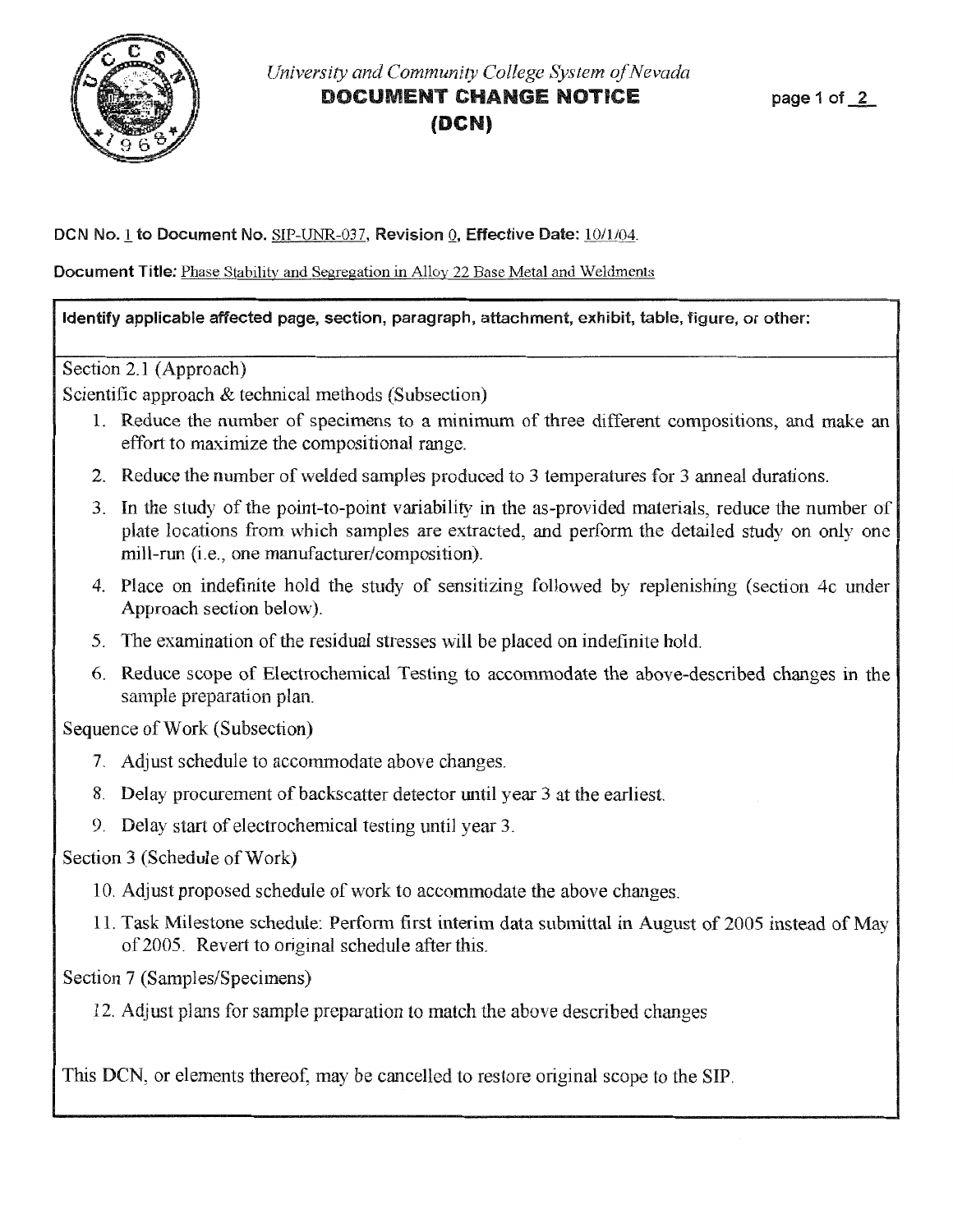

### *University and Community College System of Nevada* DOCUMENT CHANGE NOTICE **(DCN)**

DCN No.1 to Document No. SIP-UNR-037, Revision Q, Effective Date: 10/1/04.

**Document Title:** Phase Stability and Segregation in Alloy 22 Base Metal and Weldments

#### Identify applicable affected page, section, paragraph, attachment, exhibit, table, figure, or other:

Section 2.1 (Approach)

Scientific approach & technical methods (Subsection)

- 1. Reduce the number of specimens to a minimum of three different compositions, and make an effort to maximize the compositional range.
- 2. Reduce the number of welded samples produced to 3 temperatures for 3 anneal durations.
- 3. In the study of the point-to-point variability in the as-provided materials, reduce the number of plate locations from which samples are extracted, and perform the detailed study on only one mill-run (i.e., one manufacturer/composition).
- 4. Place on indefinite hold the study of sensitizing followed by replenishing (section 4c under Approach section below).
- 5. The examination of the residual stresses will be placed on indefinite hold.
- 6. Reduce scope of Electrochemical Testing to accommodate the above-described changes in the sample preparation plan.

Sequence of Work (Subsection)

- 7. Adjust schedule to accommodate above changes.
- 8. Delay procurement of backscatter detector until year 3 at the earliest.
- 9. Delay start of electrochemical testing until year 3.

Section 3 (Schedule of Work)

- 10. Adjust proposed schedule of work to accommodate the above changes.
- 11. Task Milestone schedule: Perform first interim data submittal in August of 2005 instead of May of2005. Revert to original schedule after this.

Section 7 (Samples/Specimens)

12. Adjust plans for sample preparation to match the above described changes

This DCN, or elements thereof, may be cancelled to restore original scope to the SIP.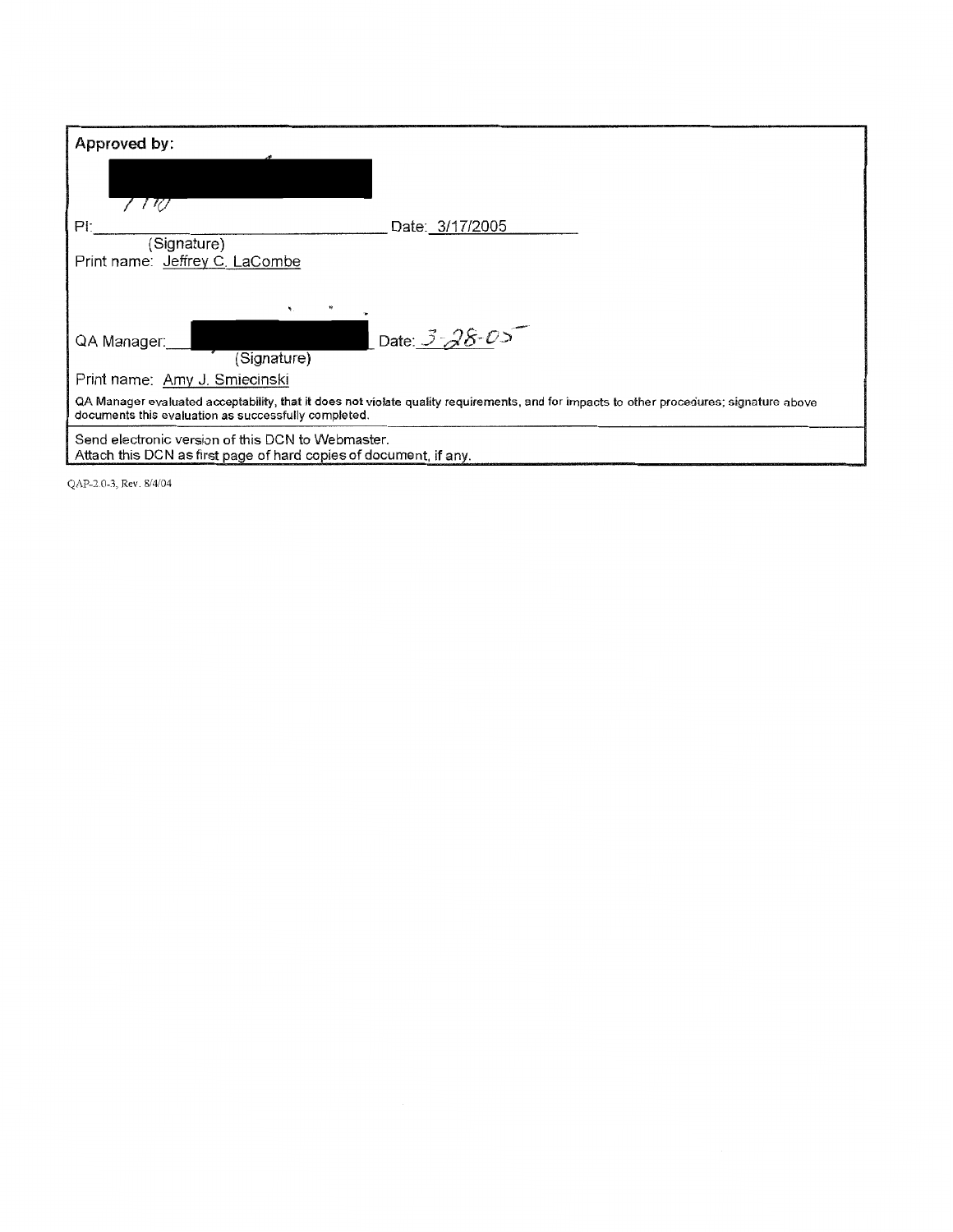| Approved by:                                                                                                                                                                                    |  |  |
|-------------------------------------------------------------------------------------------------------------------------------------------------------------------------------------------------|--|--|
|                                                                                                                                                                                                 |  |  |
| PI:<br>Date: 3/17/2005                                                                                                                                                                          |  |  |
| (Signature)<br>Print name: Jeffrey C. LaCombe                                                                                                                                                   |  |  |
| ۰.                                                                                                                                                                                              |  |  |
| Date: 3-28-05<br>QA Manager:<br>(Signature)                                                                                                                                                     |  |  |
| Print name: Amy J. Smiecinski                                                                                                                                                                   |  |  |
| QA Manager evaluated acceptability, that it does not violate quality requirements, and for impacts to other procedures; signature above<br>documents this evaluation as successfully completed. |  |  |
| Send electronic version of this DCN to Webmaster.<br>Attach this DCN as first page of hard copies of document, if any.                                                                          |  |  |

QAP-2.0-3, Rev. 8/4/04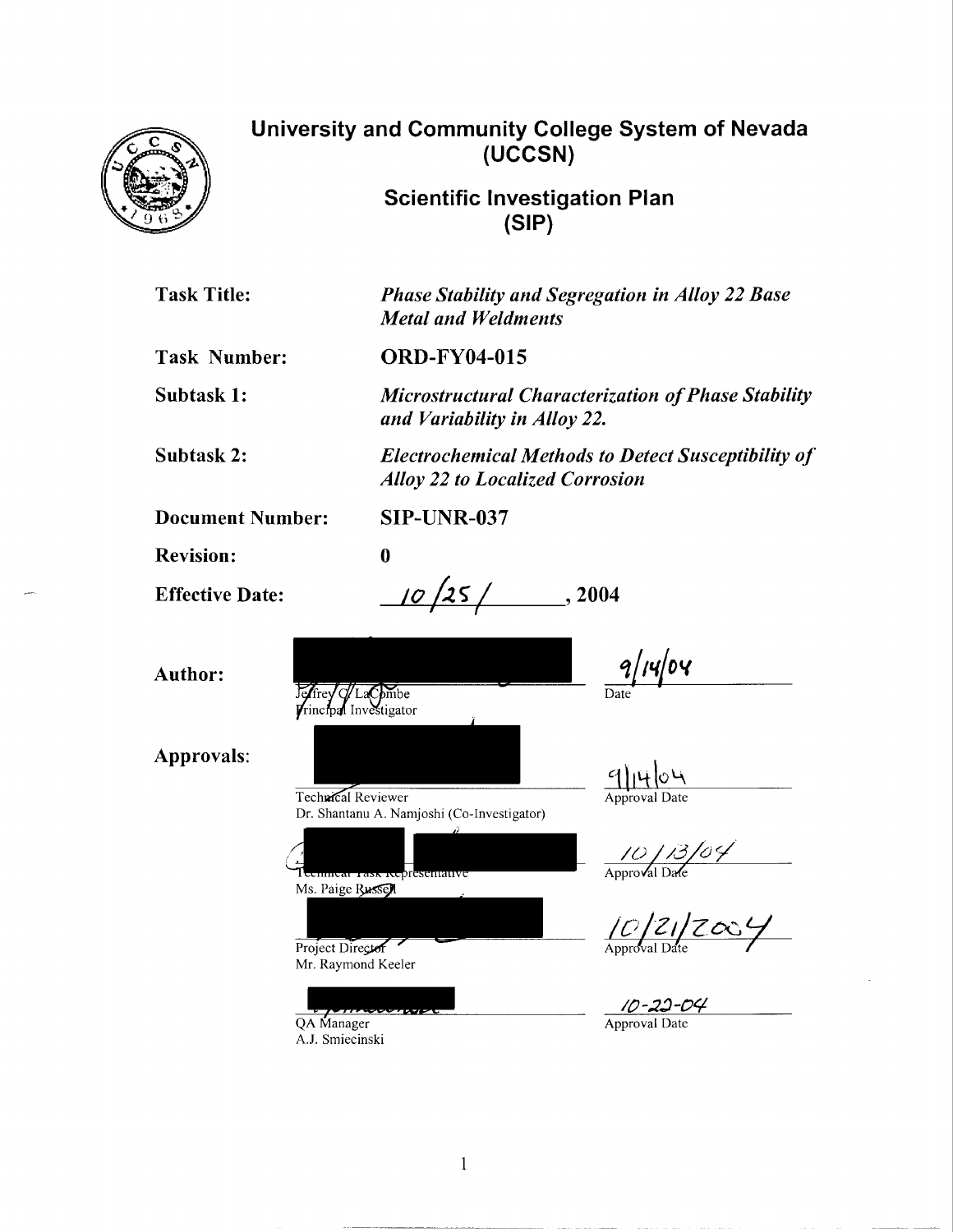

# University and Community College System of Nevada (UCCSN}

Scientific Investigation Plan (SIP}

| <b>Task Title:</b>                      | <b>Phase Stability and Segregation in Alloy 22 Base</b><br><b>Metal and Weldments</b>                |  |  |  |  |
|-----------------------------------------|------------------------------------------------------------------------------------------------------|--|--|--|--|
| <b>Task Number:</b>                     | <b>ORD-FY04-015</b>                                                                                  |  |  |  |  |
| Subtask 1:                              | <b>Microstructural Characterization of Phase Stability</b><br>and Variability in Alloy 22.           |  |  |  |  |
| Subtask 2:                              | <b>Electrochemical Methods to Detect Susceptibility of</b><br><b>Alloy 22 to Localized Corrosion</b> |  |  |  |  |
| <b>Document Number:</b>                 | <b>SIP-UNR-037</b>                                                                                   |  |  |  |  |
| <b>Revision:</b>                        | $\bf{0}$                                                                                             |  |  |  |  |
| <b>Effective Date:</b>                  | 10/25/<br>, 2004                                                                                     |  |  |  |  |
| <b>Author:</b><br>effrey d/LaCombe      | 9/14/04<br>rinctoal Investigator                                                                     |  |  |  |  |
| <b>Approvals:</b><br>Technical Reviewer | 9/14/04<br>Approval Date<br>Dr. Shantanu A. Namjoshi (Co-Investigator)                               |  |  |  |  |
| Ms. Paige Russell                       | 10/13/04<br>Teeninear Task Representativ                                                             |  |  |  |  |
| Project Director                        | 10/21/2004<br>Mr. Raymond Keeler                                                                     |  |  |  |  |
|                                         | 10-22-04                                                                                             |  |  |  |  |

Approval Date

QA Manager A.J. Smiecinski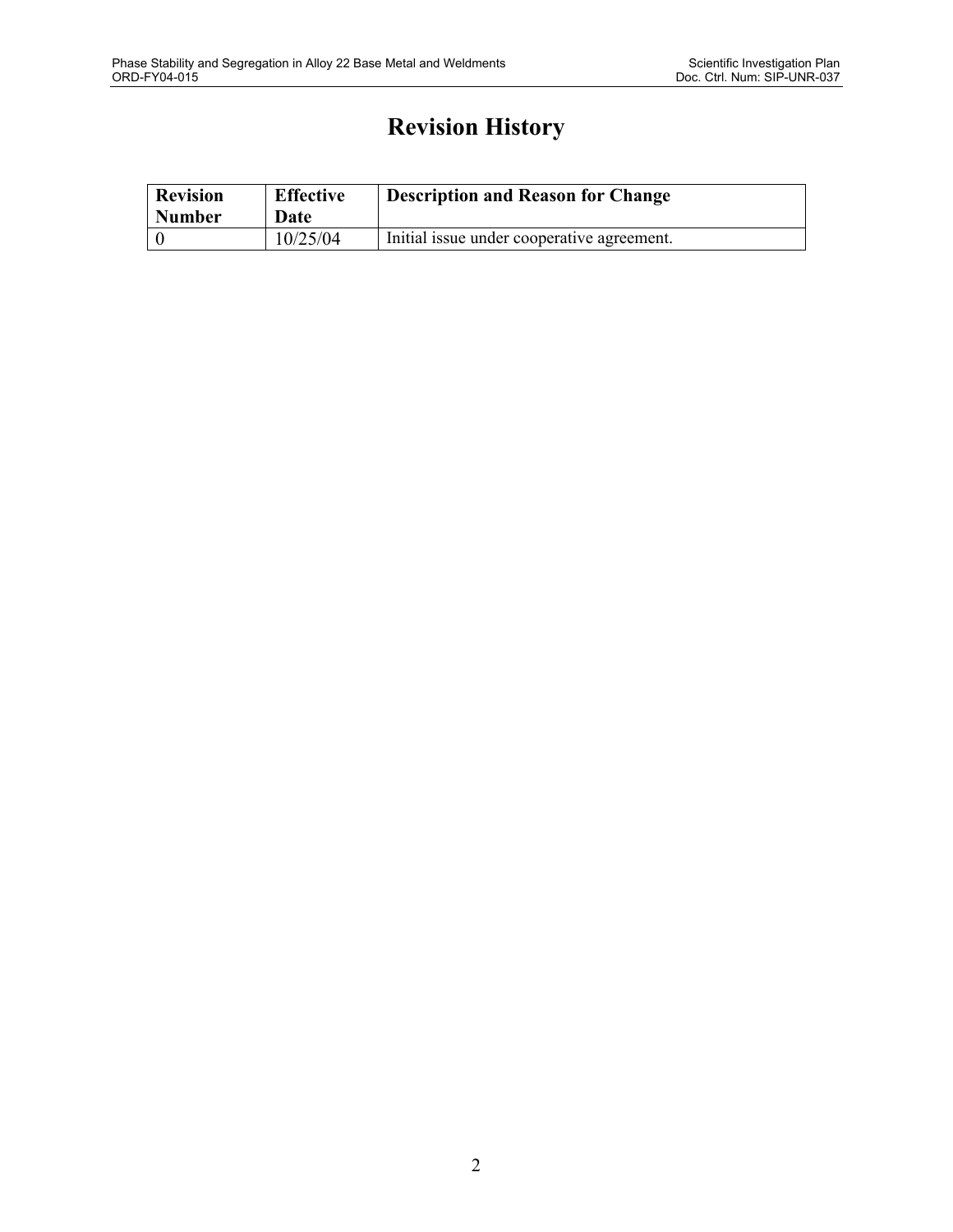# **Revision History**

| <b>Revision</b><br><b>Number</b> | <b>Effective</b><br>Date | <b>Description and Reason for Change</b>   |
|----------------------------------|--------------------------|--------------------------------------------|
|                                  | 10/25/04                 | Initial issue under cooperative agreement. |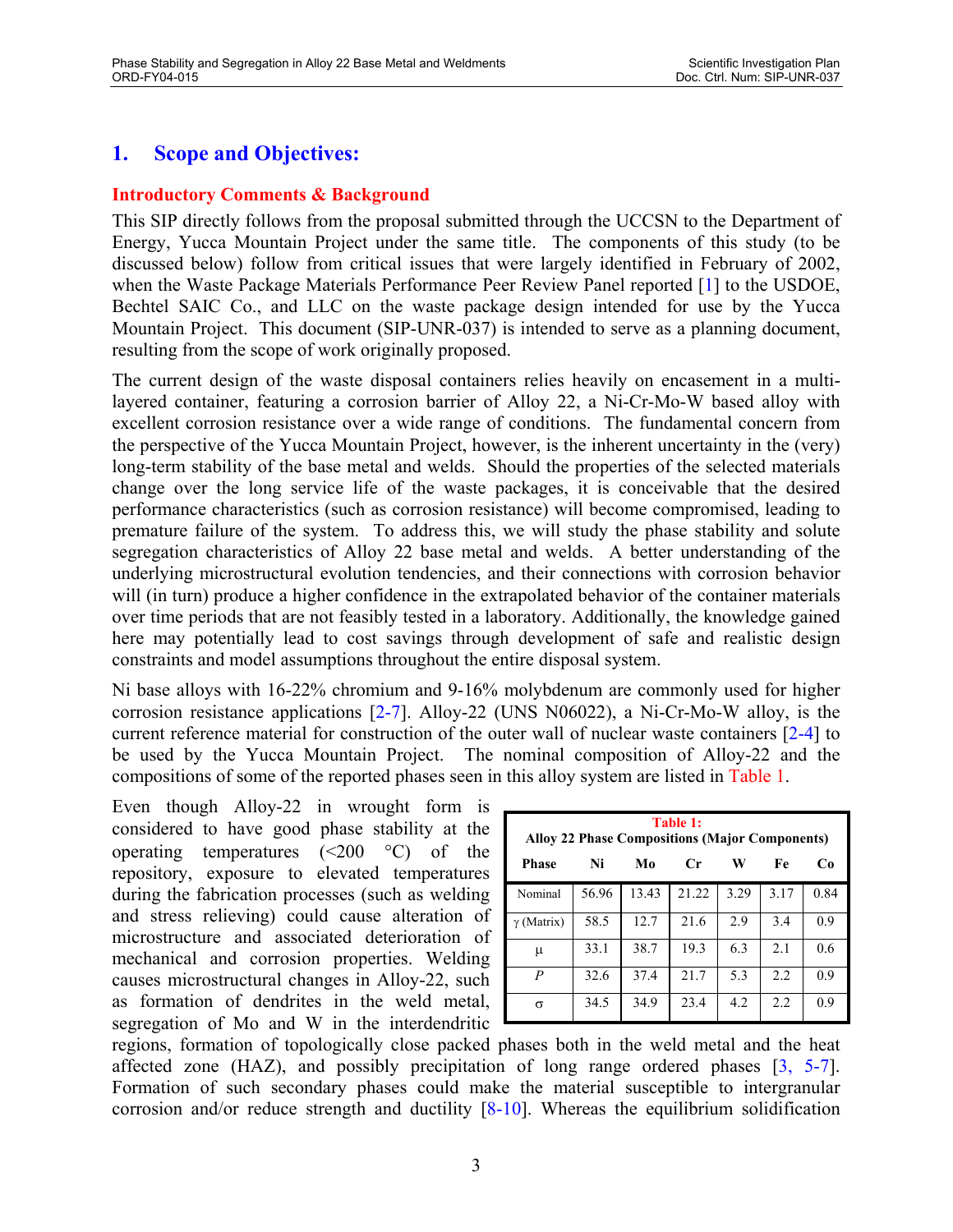# **1. Scope and Objectives:**

#### **Introductory Comments & Background**

This SIP directly follows from the proposal submitted through the UCCSN to the Department of Energy, Yucca Mountain Project under the same title. The components of this study (to be discussed below) follow from critical issues that were largely identified in February of 2002, when the Waste Package Materials Performance Peer Review Panel reported [1] to the USDOE, Bechtel SAIC Co., and LLC on the waste package design intended for use by the Yucca Mountain Project. This document (SIP-UNR-037) is intended to serve as a planning document, resulting from the scope of work originally proposed.

The current design of the waste disposal containers relies heavily on encasement in a multilayered container, featuring a corrosion barrier of Alloy 22, a Ni-Cr-Mo-W based alloy with excellent corrosion resistance over a wide range of conditions. The fundamental concern from the perspective of the Yucca Mountain Project, however, is the inherent uncertainty in the (very) long-term stability of the base metal and welds. Should the properties of the selected materials change over the long service life of the waste packages, it is conceivable that the desired performance characteristics (such as corrosion resistance) will become compromised, leading to premature failure of the system. To address this, we will study the phase stability and solute segregation characteristics of Alloy 22 base metal and welds. A better understanding of the underlying microstructural evolution tendencies, and their connections with corrosion behavior will (in turn) produce a higher confidence in the extrapolated behavior of the container materials over time periods that are not feasibly tested in a laboratory. Additionally, the knowledge gained here may potentially lead to cost savings through development of safe and realistic design constraints and model assumptions throughout the entire disposal system.

Ni base alloys with 16-22% chromium and 9-16% molybdenum are commonly used for higher corrosion resistance applications [2-7]. Alloy-22 (UNS N06022), a Ni-Cr-Mo-W alloy, is the current reference material for construction of the outer wall of nuclear waste containers [2-4] to be used by the Yucca Mountain Project. The nominal composition of Alloy-22 and the compositions of some of the reported phases seen in this alloy system are listed in Table 1.

Even though Alloy-22 in wrought form is considered to have good phase stability at the operating temperatures  $(\leq 200 \degree \degree C)$  of the repository, exposure to elevated temperatures during the fabrication processes (such as welding and stress relieving) could cause alteration of microstructure and associated deterioration of mechanical and corrosion properties. Welding causes microstructural changes in Alloy-22, such as formation of dendrites in the weld metal, segregation of Mo and W in the interdendritic

| Table 1:<br><b>Alloy 22 Phase Compositions (Major Components)</b> |       |       |       |      |      |      |
|-------------------------------------------------------------------|-------|-------|-------|------|------|------|
| <b>Phase</b>                                                      | Ni    | Mo    | Cr    | W    | Fe   | Cо   |
| Nominal                                                           | 56.96 | 13.43 | 21.22 | 3.29 | 3.17 | 0.84 |
| $\gamma$ (Matrix)                                                 | 58.5  | 12.7  | 21.6  | 2.9  | 3.4  | 09   |
| μ                                                                 | 33.1  | 38.7  | 19.3  | 6.3  | 2.1  | 0.6  |
| P                                                                 | 32.6  | 37.4  | 21.7  | 5.3  | 2.2  | 0.9  |
| σ                                                                 | 34.5  | 34.9  | 23.4  | 4.2  | 2.2  | 0.9  |

regions, formation of topologically close packed phases both in the weld metal and the heat affected zone (HAZ), and possibly precipitation of long range ordered phases [3, 5-7]. Formation of such secondary phases could make the material susceptible to intergranular corrosion and/or reduce strength and ductility  $[8-10]$ . Whereas the equilibrium solidification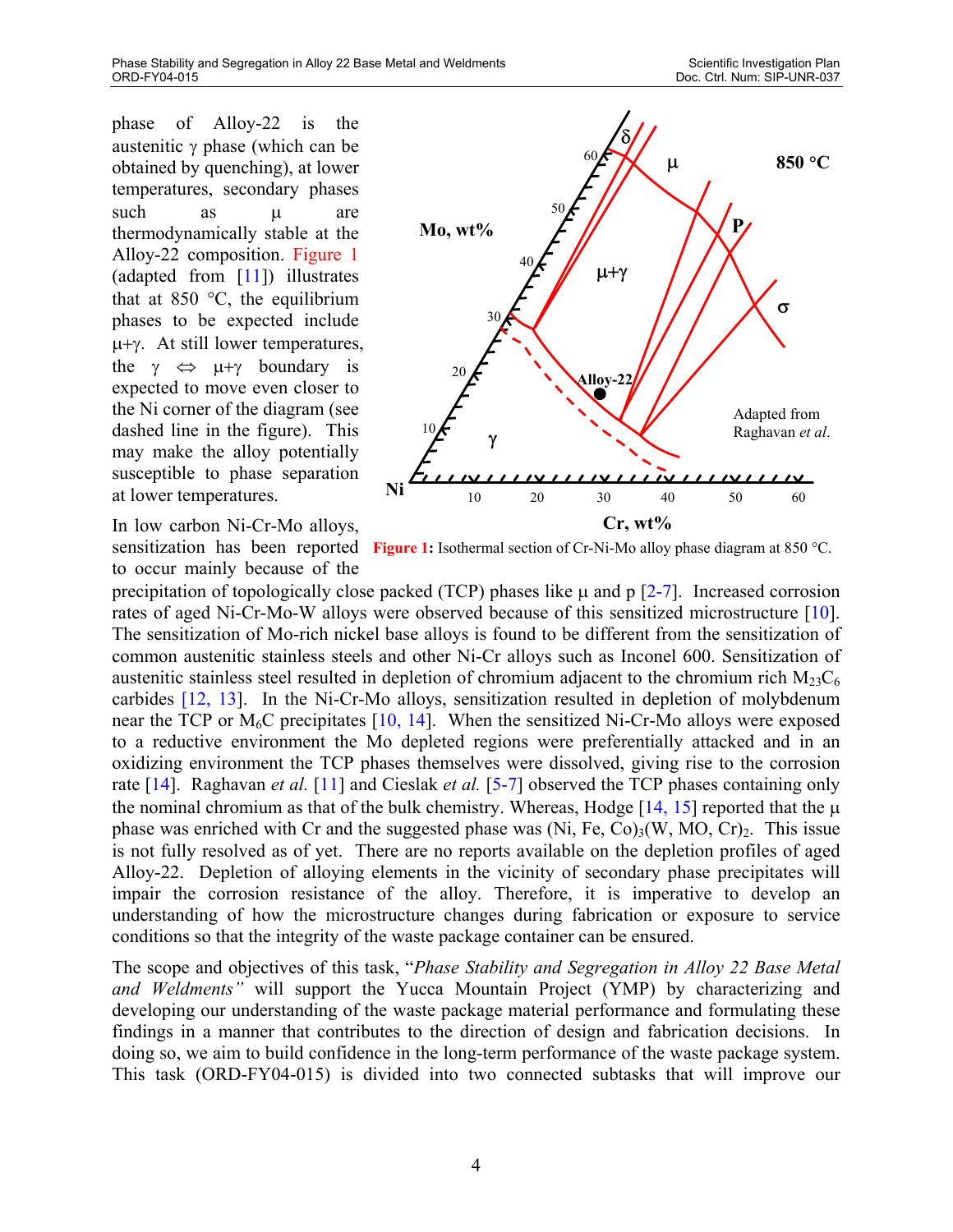phase of Alloy-22 is the austenitic γ phase (which can be obtained by quenching), at lower temperatures, secondary phases such as  $\mu$  are thermodynamically stable at the Alloy-22 composition. Figure 1 (adapted from [11]) illustrates that at 850  $\degree$ C, the equilibrium phases to be expected include µ+γ. At still lower temperatures, the  $\gamma \Leftrightarrow \mu + \gamma$  boundary is expected to move even closer to the Ni corner of the diagram (see dashed line in the figure). This may make the alloy potentially susceptible to phase separation at lower temperatures.

In low carbon Ni-Cr-Mo alloys, to occur mainly because of the



sensitization has been reported Figure 1: Isothermal section of Cr-Ni-Mo alloy phase diagram at 850 °C.

precipitation of topologically close packed (TCP) phases like  $\mu$  and p [2-7]. Increased corrosion rates of aged Ni-Cr-Mo-W alloys were observed because of this sensitized microstructure [10]. The sensitization of Mo-rich nickel base alloys is found to be different from the sensitization of common austenitic stainless steels and other Ni-Cr alloys such as Inconel 600. Sensitization of austenitic stainless steel resulted in depletion of chromium adjacent to the chromium rich  $M_{23}C_6$ carbides [12, 13]. In the Ni-Cr-Mo alloys, sensitization resulted in depletion of molybdenum near the TCP or  $M_6C$  precipitates [10, 14]. When the sensitized Ni-Cr-Mo alloys were exposed to a reductive environment the Mo depleted regions were preferentially attacked and in an oxidizing environment the TCP phases themselves were dissolved, giving rise to the corrosion rate [14]. Raghavan *et al.* [11] and Cieslak *et al.* [5-7] observed the TCP phases containing only the nominal chromium as that of the bulk chemistry. Whereas, Hodge  $[14, 15]$  reported that the  $\mu$ phase was enriched with Cr and the suggested phase was  $(Ni, Fe, Co)<sub>3</sub>(W, MO, Cr)<sub>2</sub>$ . This issue is not fully resolved as of yet. There are no reports available on the depletion profiles of aged Alloy-22. Depletion of alloying elements in the vicinity of secondary phase precipitates will impair the corrosion resistance of the alloy. Therefore, it is imperative to develop an understanding of how the microstructure changes during fabrication or exposure to service conditions so that the integrity of the waste package container can be ensured.

The scope and objectives of this task, "*Phase Stability and Segregation in Alloy 22 Base Metal and Weldments"* will support the Yucca Mountain Project (YMP) by characterizing and developing our understanding of the waste package material performance and formulating these findings in a manner that contributes to the direction of design and fabrication decisions. In doing so, we aim to build confidence in the long-term performance of the waste package system. This task (ORD-FY04-015) is divided into two connected subtasks that will improve our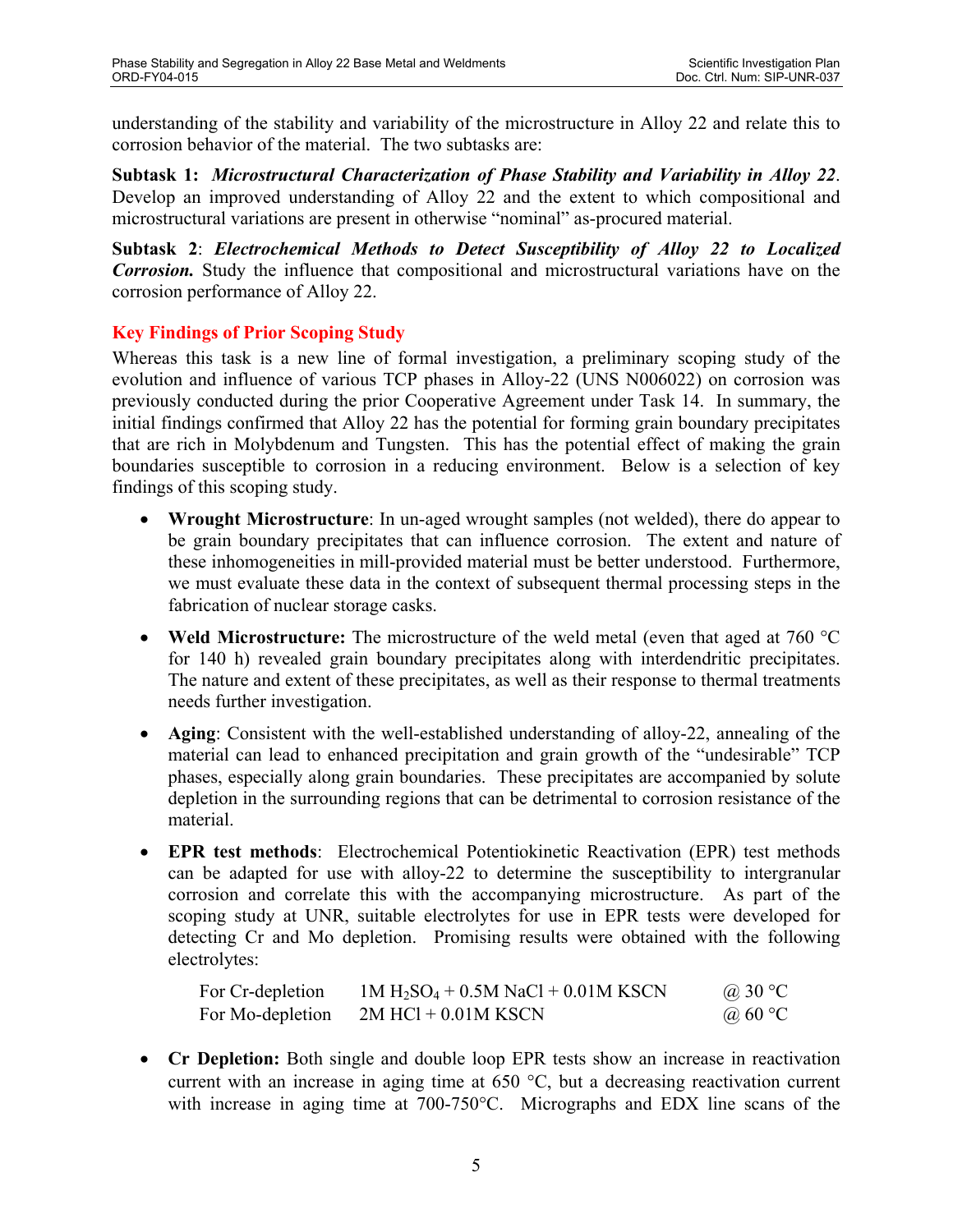understanding of the stability and variability of the microstructure in Alloy 22 and relate this to corrosion behavior of the material. The two subtasks are:

**Subtask 1:** *Microstructural Characterization of Phase Stability and Variability in Alloy 22*. Develop an improved understanding of Alloy 22 and the extent to which compositional and microstructural variations are present in otherwise "nominal" as-procured material.

**Subtask 2**: *Electrochemical Methods to Detect Susceptibility of Alloy 22 to Localized Corrosion.* Study the influence that compositional and microstructural variations have on the corrosion performance of Alloy 22.

### **Key Findings of Prior Scoping Study**

Whereas this task is a new line of formal investigation, a preliminary scoping study of the evolution and influence of various TCP phases in Alloy-22 (UNS N006022) on corrosion was previously conducted during the prior Cooperative Agreement under Task 14. In summary, the initial findings confirmed that Alloy 22 has the potential for forming grain boundary precipitates that are rich in Molybdenum and Tungsten. This has the potential effect of making the grain boundaries susceptible to corrosion in a reducing environment. Below is a selection of key findings of this scoping study.

- **Wrought Microstructure**: In un-aged wrought samples (not welded), there do appear to be grain boundary precipitates that can influence corrosion. The extent and nature of these inhomogeneities in mill-provided material must be better understood. Furthermore, we must evaluate these data in the context of subsequent thermal processing steps in the fabrication of nuclear storage casks.
- **Weld Microstructure:** The microstructure of the weld metal (even that aged at 760 °C) for 140 h) revealed grain boundary precipitates along with interdendritic precipitates. The nature and extent of these precipitates, as well as their response to thermal treatments needs further investigation.
- **Aging**: Consistent with the well-established understanding of alloy-22, annealing of the material can lead to enhanced precipitation and grain growth of the "undesirable" TCP phases, especially along grain boundaries. These precipitates are accompanied by solute depletion in the surrounding regions that can be detrimental to corrosion resistance of the material.
- **EPR test methods**: Electrochemical Potentiokinetic Reactivation (EPR) test methods can be adapted for use with alloy-22 to determine the susceptibility to intergranular corrosion and correlate this with the accompanying microstructure. As part of the scoping study at UNR, suitable electrolytes for use in EPR tests were developed for detecting Cr and Mo depletion. Promising results were obtained with the following electrolytes:

| For Cr-depletion | $1M H_2SO_4 + 0.5M$ NaCl + 0.01M KSCN | @ 30 $\degree$ C |
|------------------|---------------------------------------|------------------|
| For Mo-depletion | $2M$ HCl + 0.01M KSCN                 | @ 60 $\degree$ C |

• **Cr Depletion:** Both single and double loop EPR tests show an increase in reactivation current with an increase in aging time at 650 °C, but a decreasing reactivation current with increase in aging time at 700-750 °C. Micrographs and EDX line scans of the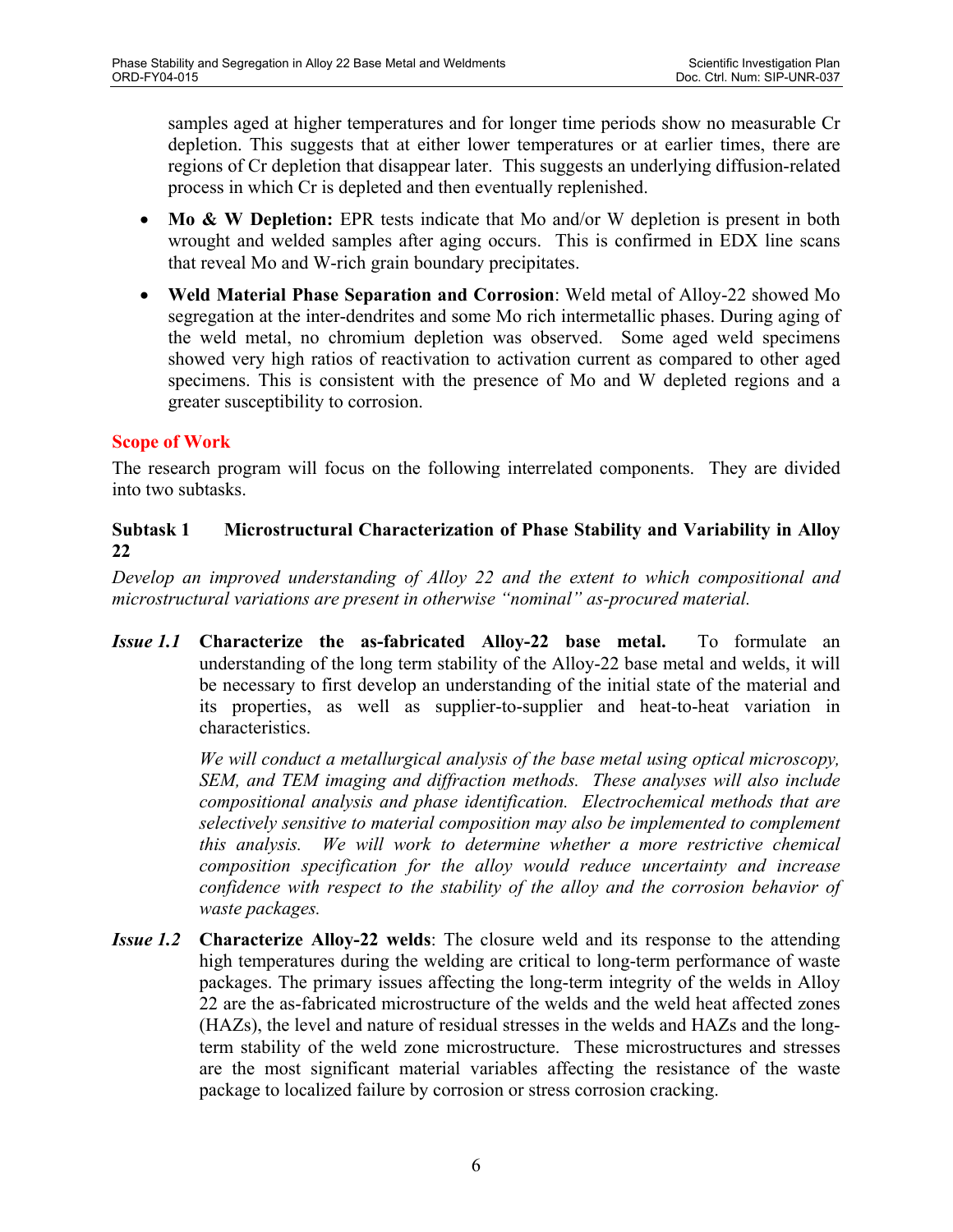samples aged at higher temperatures and for longer time periods show no measurable Cr depletion. This suggests that at either lower temperatures or at earlier times, there are regions of Cr depletion that disappear later. This suggests an underlying diffusion-related process in which Cr is depleted and then eventually replenished.

- **Mo & W Depletion:** EPR tests indicate that Mo and/or W depletion is present in both wrought and welded samples after aging occurs. This is confirmed in EDX line scans that reveal Mo and W-rich grain boundary precipitates.
- **Weld Material Phase Separation and Corrosion**: Weld metal of Alloy-22 showed Mo segregation at the inter-dendrites and some Mo rich intermetallic phases. During aging of the weld metal, no chromium depletion was observed. Some aged weld specimens showed very high ratios of reactivation to activation current as compared to other aged specimens. This is consistent with the presence of Mo and W depleted regions and a greater susceptibility to corrosion.

### **Scope of Work**

The research program will focus on the following interrelated components. They are divided into two subtasks.

### **Subtask 1 Microstructural Characterization of Phase Stability and Variability in Alloy 22**

*Develop an improved understanding of Alloy 22 and the extent to which compositional and microstructural variations are present in otherwise "nominal" as-procured material.* 

*Issue 1.1* **Characterize the as-fabricated Alloy-22 base metal.** To formulate an understanding of the long term stability of the Alloy-22 base metal and welds, it will be necessary to first develop an understanding of the initial state of the material and its properties, as well as supplier-to-supplier and heat-to-heat variation in characteristics.

> *We will conduct a metallurgical analysis of the base metal using optical microscopy, SEM, and TEM imaging and diffraction methods. These analyses will also include compositional analysis and phase identification. Electrochemical methods that are selectively sensitive to material composition may also be implemented to complement this analysis. We will work to determine whether a more restrictive chemical composition specification for the alloy would reduce uncertainty and increase confidence with respect to the stability of the alloy and the corrosion behavior of waste packages.*

*Issue 1.2* **Characterize Alloy-22 welds**: The closure weld and its response to the attending high temperatures during the welding are critical to long-term performance of waste packages. The primary issues affecting the long-term integrity of the welds in Alloy 22 are the as-fabricated microstructure of the welds and the weld heat affected zones (HAZs), the level and nature of residual stresses in the welds and HAZs and the longterm stability of the weld zone microstructure. These microstructures and stresses are the most significant material variables affecting the resistance of the waste package to localized failure by corrosion or stress corrosion cracking.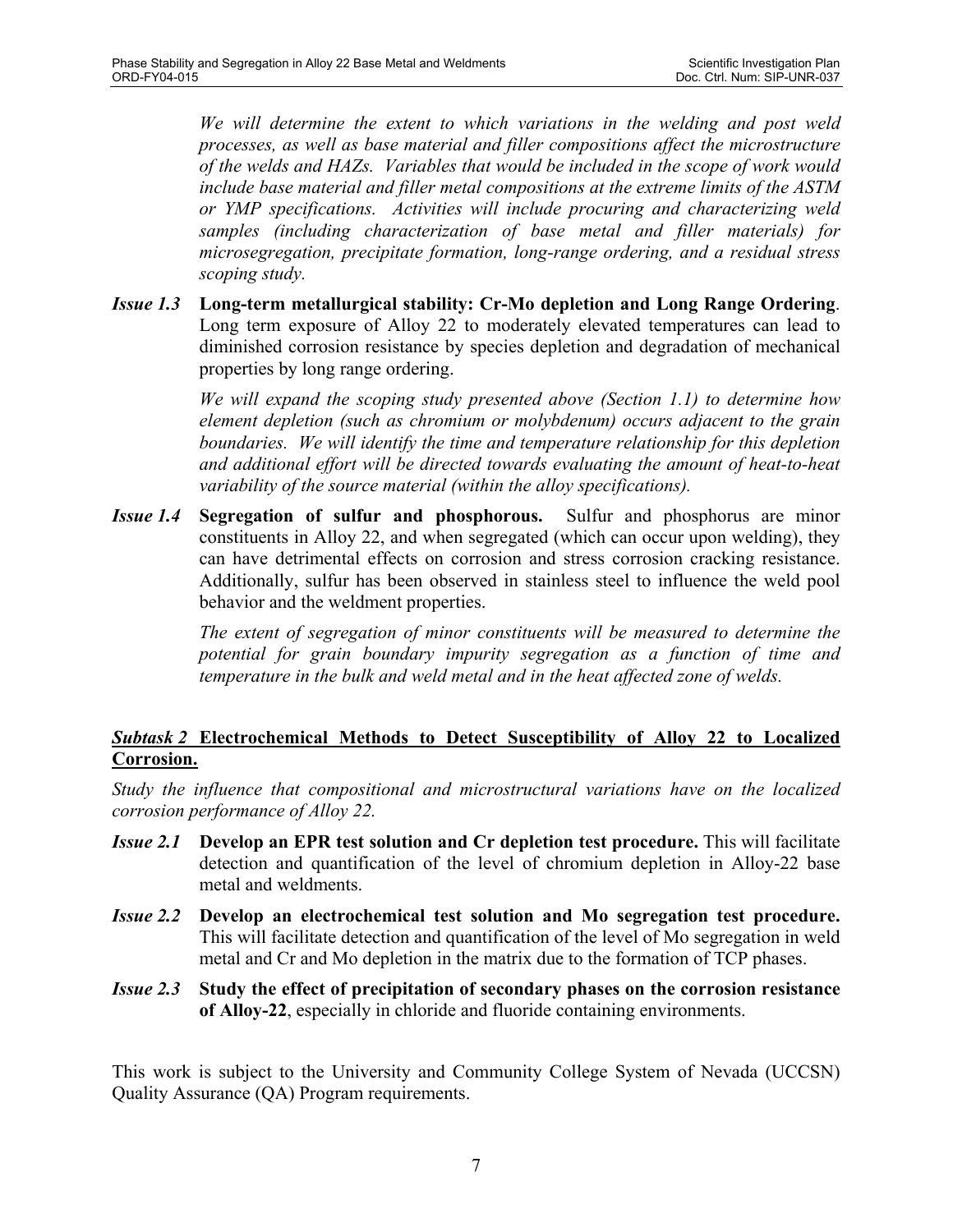*We will determine the extent to which variations in the welding and post weld processes, as well as base material and filler compositions affect the microstructure of the welds and HAZs. Variables that would be included in the scope of work would include base material and filler metal compositions at the extreme limits of the ASTM or YMP specifications. Activities will include procuring and characterizing weld samples (including characterization of base metal and filler materials) for microsegregation, precipitate formation, long-range ordering, and a residual stress scoping study.*

*Issue 1.3* **Long-term metallurgical stability: Cr-Mo depletion and Long Range Ordering**. Long term exposure of Alloy 22 to moderately elevated temperatures can lead to diminished corrosion resistance by species depletion and degradation of mechanical properties by long range ordering.

> *We will expand the scoping study presented above (Section 1.1) to determine how element depletion (such as chromium or molybdenum) occurs adjacent to the grain boundaries. We will identify the time and temperature relationship for this depletion and additional effort will be directed towards evaluating the amount of heat-to-heat variability of the source material (within the alloy specifications).*

*Issue 1.4* **Segregation of sulfur and phosphorous.** Sulfur and phosphorus are minor constituents in Alloy 22, and when segregated (which can occur upon welding), they can have detrimental effects on corrosion and stress corrosion cracking resistance. Additionally, sulfur has been observed in stainless steel to influence the weld pool behavior and the weldment properties.

> *The extent of segregation of minor constituents will be measured to determine the potential for grain boundary impurity segregation as a function of time and temperature in the bulk and weld metal and in the heat affected zone of welds.*

### *Subtask 2* **Electrochemical Methods to Detect Susceptibility of Alloy 22 to Localized Corrosion.**

*Study the influence that compositional and microstructural variations have on the localized corrosion performance of Alloy 22.* 

- *Issue 2.1* **Develop an EPR test solution and Cr depletion test procedure.** This will facilitate detection and quantification of the level of chromium depletion in Alloy-22 base metal and weldments.
- *Issue 2.2* **Develop an electrochemical test solution and Mo segregation test procedure.**  This will facilitate detection and quantification of the level of Mo segregation in weld metal and Cr and Mo depletion in the matrix due to the formation of TCP phases.
- *Issue 2.3* **Study the effect of precipitation of secondary phases on the corrosion resistance of Alloy-22**, especially in chloride and fluoride containing environments.

This work is subject to the University and Community College System of Nevada (UCCSN) Quality Assurance (QA) Program requirements.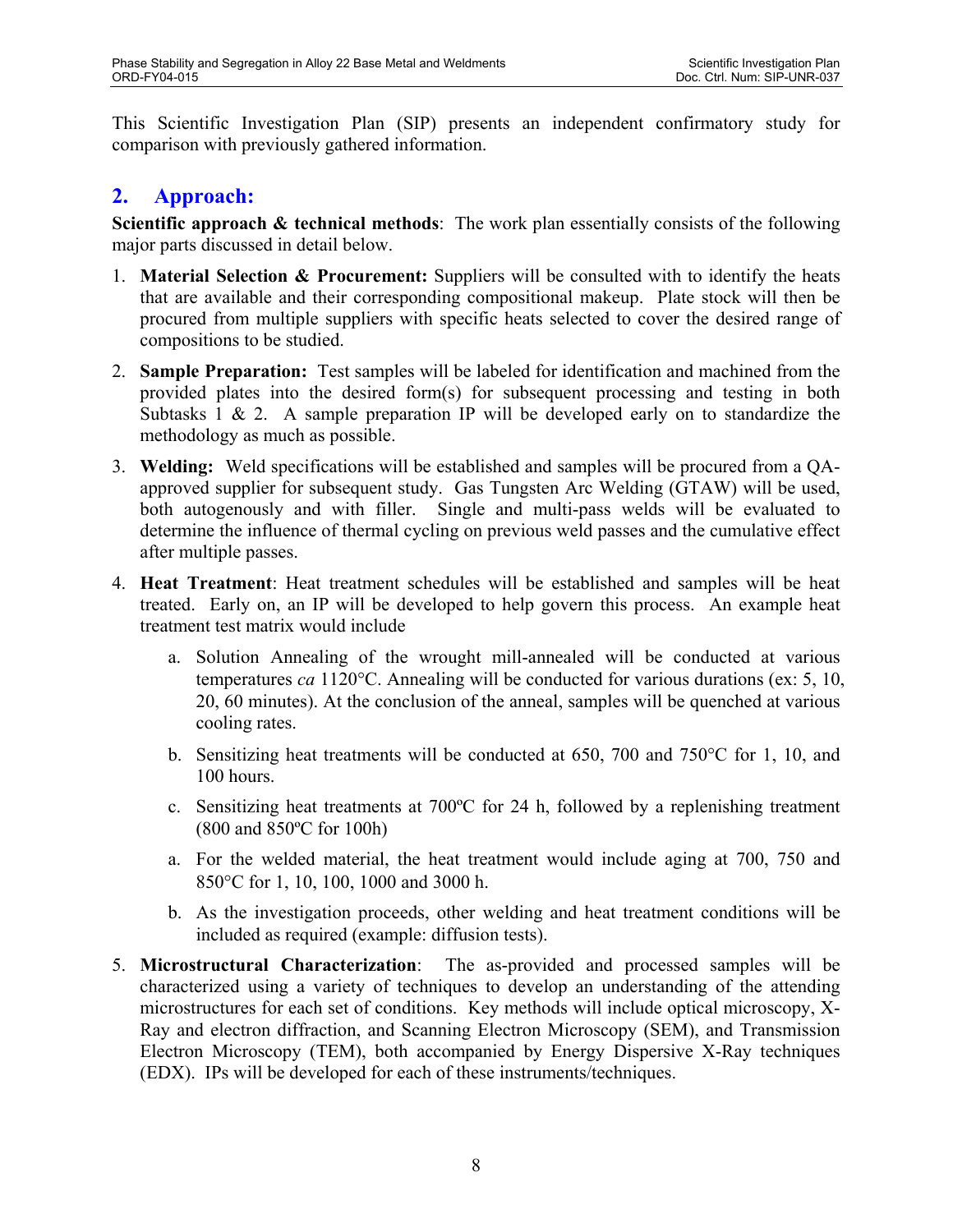This Scientific Investigation Plan (SIP) presents an independent confirmatory study for comparison with previously gathered information.

# **2. Approach:**

**Scientific approach & technical methods**: The work plan essentially consists of the following major parts discussed in detail below.

- 1. **Material Selection & Procurement:** Suppliers will be consulted with to identify the heats that are available and their corresponding compositional makeup. Plate stock will then be procured from multiple suppliers with specific heats selected to cover the desired range of compositions to be studied.
- 2. **Sample Preparation:** Test samples will be labeled for identification and machined from the provided plates into the desired form(s) for subsequent processing and testing in both Subtasks  $1 \& 2$ . A sample preparation IP will be developed early on to standardize the methodology as much as possible.
- 3. **Welding:** Weld specifications will be established and samples will be procured from a QAapproved supplier for subsequent study. Gas Tungsten Arc Welding (GTAW) will be used, both autogenously and with filler. Single and multi-pass welds will be evaluated to determine the influence of thermal cycling on previous weld passes and the cumulative effect after multiple passes.
- 4. **Heat Treatment**: Heat treatment schedules will be established and samples will be heat treated. Early on, an IP will be developed to help govern this process. An example heat treatment test matrix would include
	- a. Solution Annealing of the wrought mill-annealed will be conducted at various temperatures *ca* 1120°C. Annealing will be conducted for various durations (ex: 5, 10, 20, 60 minutes). At the conclusion of the anneal, samples will be quenched at various cooling rates.
	- b. Sensitizing heat treatments will be conducted at 650, 700 and 750°C for 1, 10, and 100 hours.
	- c. Sensitizing heat treatments at 700ºC for 24 h, followed by a replenishing treatment (800 and 850ºC for 100h)
	- a. For the welded material, the heat treatment would include aging at 700, 750 and 850°C for 1, 10, 100, 1000 and 3000 h.
	- b. As the investigation proceeds, other welding and heat treatment conditions will be included as required (example: diffusion tests).
- 5. **Microstructural Characterization**: The as-provided and processed samples will be characterized using a variety of techniques to develop an understanding of the attending microstructures for each set of conditions. Key methods will include optical microscopy, X-Ray and electron diffraction, and Scanning Electron Microscopy (SEM), and Transmission Electron Microscopy (TEM), both accompanied by Energy Dispersive X-Ray techniques (EDX). IPs will be developed for each of these instruments/techniques.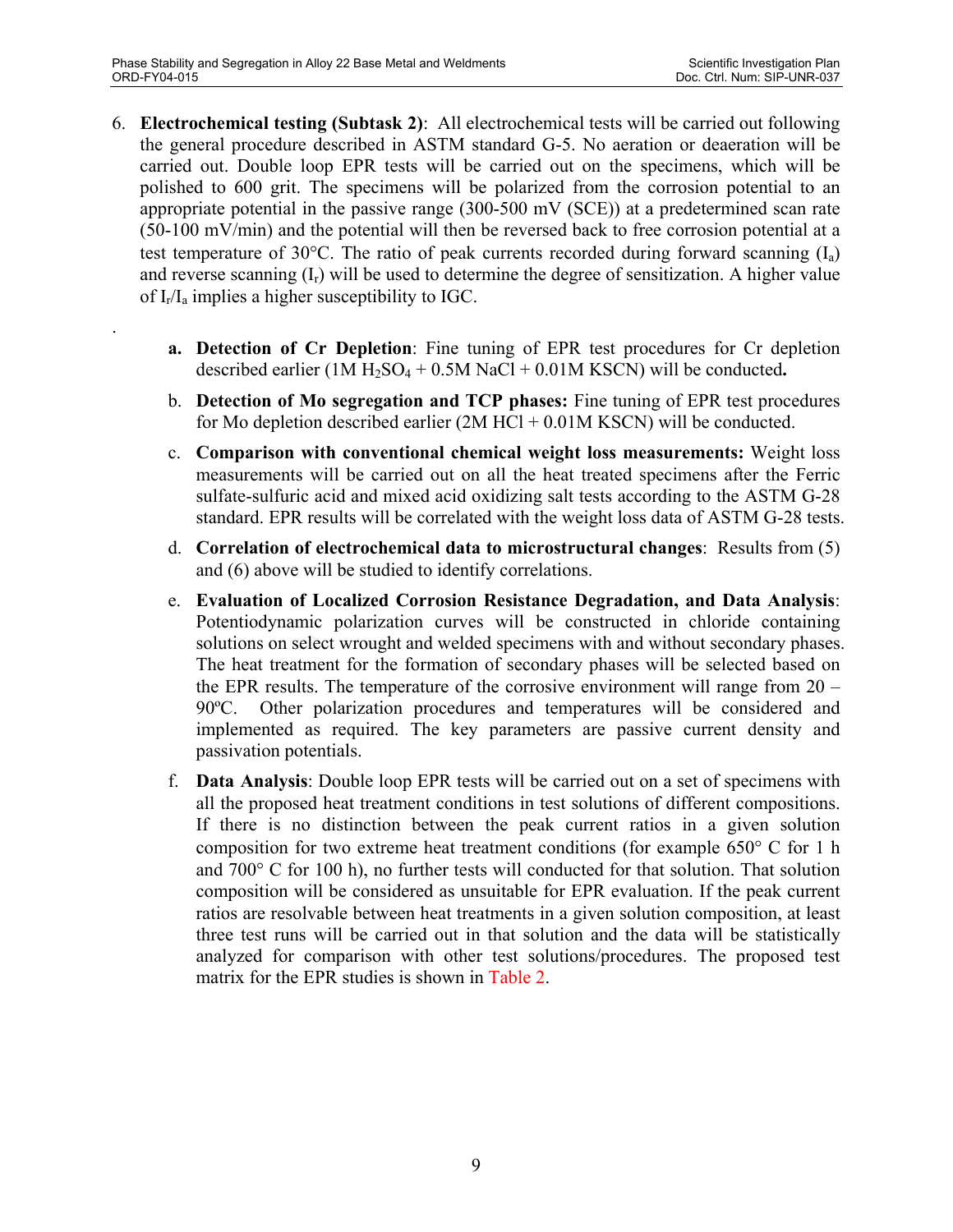.

- 6. **Electrochemical testing (Subtask 2)**: All electrochemical tests will be carried out following the general procedure described in ASTM standard G-5. No aeration or deaeration will be carried out. Double loop EPR tests will be carried out on the specimens, which will be polished to 600 grit. The specimens will be polarized from the corrosion potential to an appropriate potential in the passive range (300-500 mV (SCE)) at a predetermined scan rate (50-100 mV/min) and the potential will then be reversed back to free corrosion potential at a test temperature of 30 $^{\circ}$ C. The ratio of peak currents recorded during forward scanning  $(I_a)$ and reverse scanning  $(I_r)$  will be used to determine the degree of sensitization. A higher value of  $I_r/I_a$  implies a higher susceptibility to IGC.
	- **a. Detection of Cr Depletion**: Fine tuning of EPR test procedures for Cr depletion described earlier  $(1M H_2SO_4 + 0.5M NaCl + 0.01M KSCN)$  will be conducted.
	- b. **Detection of Mo segregation and TCP phases:** Fine tuning of EPR test procedures for Mo depletion described earlier  $(2M HCl + 0.01M KSCN)$  will be conducted.
	- c. **Comparison with conventional chemical weight loss measurements:** Weight loss measurements will be carried out on all the heat treated specimens after the Ferric sulfate-sulfuric acid and mixed acid oxidizing salt tests according to the ASTM G-28 standard. EPR results will be correlated with the weight loss data of ASTM G-28 tests.
	- d. **Correlation of electrochemical data to microstructural changes**: Results from (5) and (6) above will be studied to identify correlations.
	- e. **Evaluation of Localized Corrosion Resistance Degradation, and Data Analysis**: Potentiodynamic polarization curves will be constructed in chloride containing solutions on select wrought and welded specimens with and without secondary phases. The heat treatment for the formation of secondary phases will be selected based on the EPR results. The temperature of the corrosive environment will range from 20 – 90ºC. Other polarization procedures and temperatures will be considered and implemented as required. The key parameters are passive current density and passivation potentials.
	- f. **Data Analysis**: Double loop EPR tests will be carried out on a set of specimens with all the proposed heat treatment conditions in test solutions of different compositions. If there is no distinction between the peak current ratios in a given solution composition for two extreme heat treatment conditions (for example 650° C for 1 h and 700° C for 100 h), no further tests will conducted for that solution. That solution composition will be considered as unsuitable for EPR evaluation. If the peak current ratios are resolvable between heat treatments in a given solution composition, at least three test runs will be carried out in that solution and the data will be statistically analyzed for comparison with other test solutions/procedures. The proposed test matrix for the EPR studies is shown in Table 2.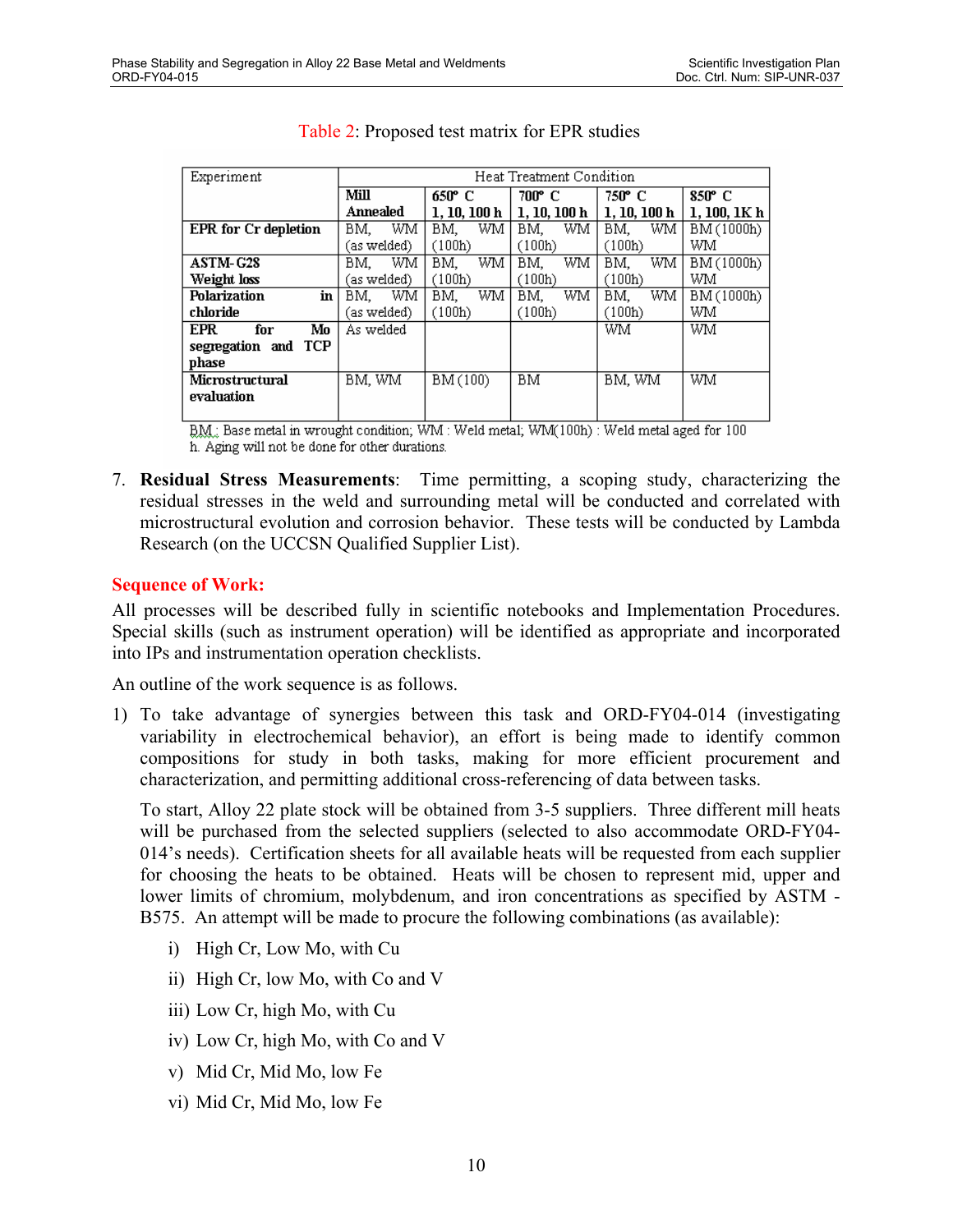| Experiment                  | Heat Treatment Condition |              |           |           |            |
|-----------------------------|--------------------------|--------------|-----------|-----------|------------|
|                             | Mill                     | 650° C       | 700° C    | 750° C    | 850° C     |
|                             | Annealed                 | 1. 10. 100 h | 1.10.100h | 1.10.100h | 1.100.1Kh  |
| <b>EPR</b> for Cr depletion | WM<br>BM,                | WM.<br>BM.   | WM<br>BM. | WM<br>BM. | BM (1000h) |
|                             | (as welded)              | (100h)       | (100h)    | (100h)    | WM         |
| <b>ASTM-G28</b>             | WM<br>BM.                | WM.<br>BM.   | BM.<br>WM | WM<br>BM. | BM (1000h) |
| Weight loss                 | (as welded)              | (100h)       | (100h)    | (100h)    | WM         |
| Polarization<br>in          | WM<br>BM.                | WM.<br>BM.   | BM.<br>WM | WM<br>BM. | BM (1000h) |
| chloride                    | (as welded)              | (100h)       | (100h)    | (100h)    | WM         |
| <b>EPR</b><br>Mo<br>for     | As welded                |              |           | WM        | WM         |
| segregation and TCP         |                          |              |           |           |            |
| phase                       |                          |              |           |           |            |
| Microstructural             | BM, WM                   | BM (100)     | BM        | BM, WM    | WM         |
| evaluation                  |                          |              |           |           |            |
|                             |                          |              |           |           |            |

#### Table 2: Proposed test matrix for EPR studies

BM: Base metal in wrought condition; WM: Weld metal; WM(100h): Weld metal aged for 100 h. Aging will not be done for other durations.

7. **Residual Stress Measurements**: Time permitting, a scoping study, characterizing the residual stresses in the weld and surrounding metal will be conducted and correlated with microstructural evolution and corrosion behavior. These tests will be conducted by Lambda Research (on the UCCSN Qualified Supplier List).

#### **Sequence of Work:**

All processes will be described fully in scientific notebooks and Implementation Procedures. Special skills (such as instrument operation) will be identified as appropriate and incorporated into IPs and instrumentation operation checklists.

An outline of the work sequence is as follows.

1) To take advantage of synergies between this task and ORD-FY04-014 (investigating variability in electrochemical behavior), an effort is being made to identify common compositions for study in both tasks, making for more efficient procurement and characterization, and permitting additional cross-referencing of data between tasks.

To start, Alloy 22 plate stock will be obtained from 3-5 suppliers. Three different mill heats will be purchased from the selected suppliers (selected to also accommodate ORD-FY04- 014's needs). Certification sheets for all available heats will be requested from each supplier for choosing the heats to be obtained. Heats will be chosen to represent mid, upper and lower limits of chromium, molybdenum, and iron concentrations as specified by ASTM - B575. An attempt will be made to procure the following combinations (as available):

- i) High Cr, Low Mo, with Cu
- ii) High Cr, low Mo, with Co and V
- iii) Low Cr, high Mo, with Cu
- iv) Low Cr, high Mo, with Co and V
- v) Mid Cr, Mid Mo, low Fe
- vi) Mid Cr, Mid Mo, low Fe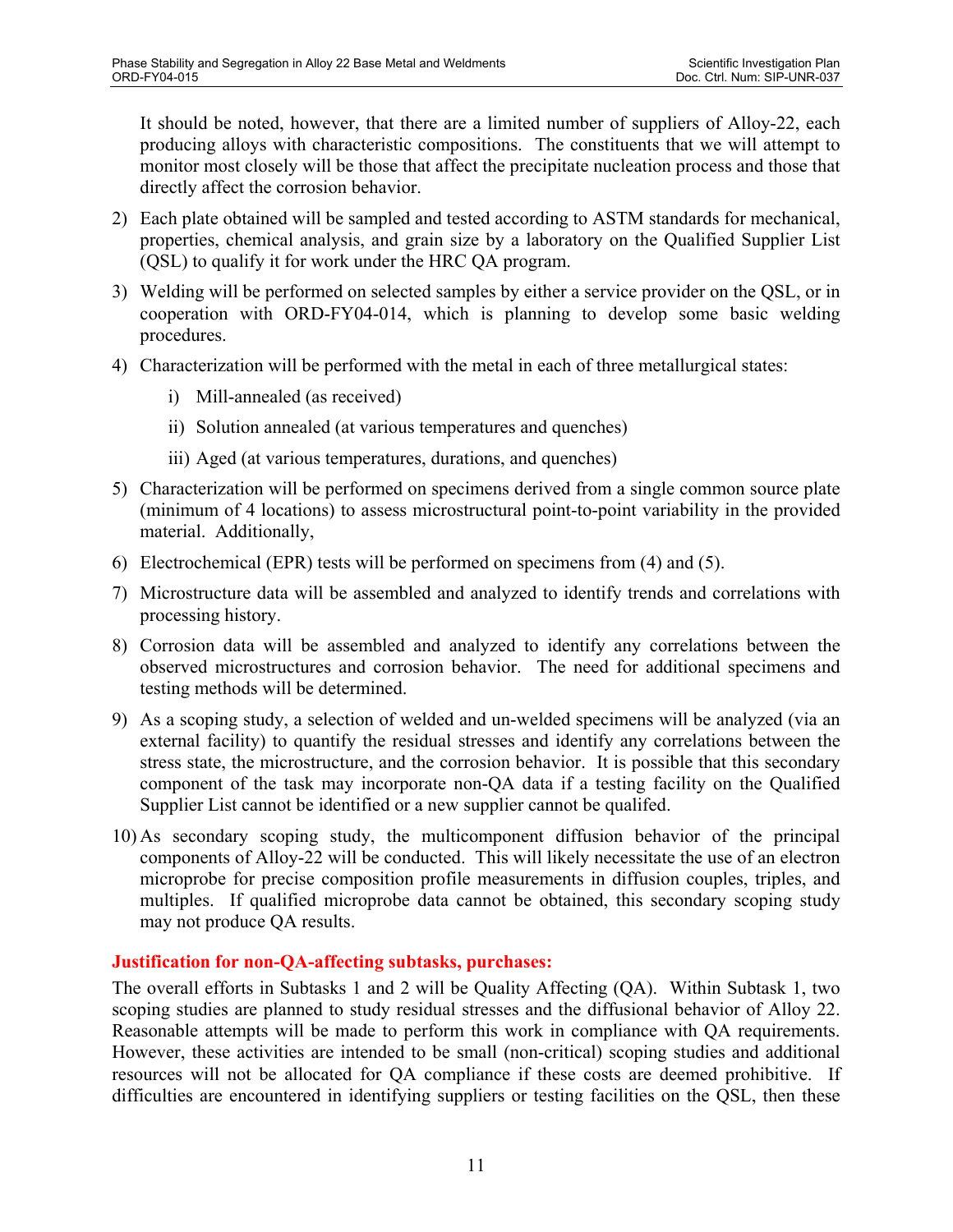It should be noted, however, that there are a limited number of suppliers of Alloy-22, each producing alloys with characteristic compositions. The constituents that we will attempt to monitor most closely will be those that affect the precipitate nucleation process and those that directly affect the corrosion behavior.

- 2) Each plate obtained will be sampled and tested according to ASTM standards for mechanical, properties, chemical analysis, and grain size by a laboratory on the Qualified Supplier List (QSL) to qualify it for work under the HRC QA program.
- 3) Welding will be performed on selected samples by either a service provider on the QSL, or in cooperation with ORD-FY04-014, which is planning to develop some basic welding procedures.
- 4) Characterization will be performed with the metal in each of three metallurgical states:
	- i) Mill-annealed (as received)
	- ii) Solution annealed (at various temperatures and quenches)
	- iii) Aged (at various temperatures, durations, and quenches)
- 5) Characterization will be performed on specimens derived from a single common source plate (minimum of 4 locations) to assess microstructural point-to-point variability in the provided material. Additionally,
- 6) Electrochemical (EPR) tests will be performed on specimens from (4) and (5).
- 7) Microstructure data will be assembled and analyzed to identify trends and correlations with processing history.
- 8) Corrosion data will be assembled and analyzed to identify any correlations between the observed microstructures and corrosion behavior. The need for additional specimens and testing methods will be determined.
- 9) As a scoping study, a selection of welded and un-welded specimens will be analyzed (via an external facility) to quantify the residual stresses and identify any correlations between the stress state, the microstructure, and the corrosion behavior. It is possible that this secondary component of the task may incorporate non-QA data if a testing facility on the Qualified Supplier List cannot be identified or a new supplier cannot be qualifed.
- 10) As secondary scoping study, the multicomponent diffusion behavior of the principal components of Alloy-22 will be conducted. This will likely necessitate the use of an electron microprobe for precise composition profile measurements in diffusion couples, triples, and multiples. If qualified microprobe data cannot be obtained, this secondary scoping study may not produce QA results.

### **Justification for non-QA-affecting subtasks, purchases:**

The overall efforts in Subtasks 1 and 2 will be Quality Affecting (QA). Within Subtask 1, two scoping studies are planned to study residual stresses and the diffusional behavior of Alloy 22. Reasonable attempts will be made to perform this work in compliance with QA requirements. However, these activities are intended to be small (non-critical) scoping studies and additional resources will not be allocated for QA compliance if these costs are deemed prohibitive. If difficulties are encountered in identifying suppliers or testing facilities on the QSL, then these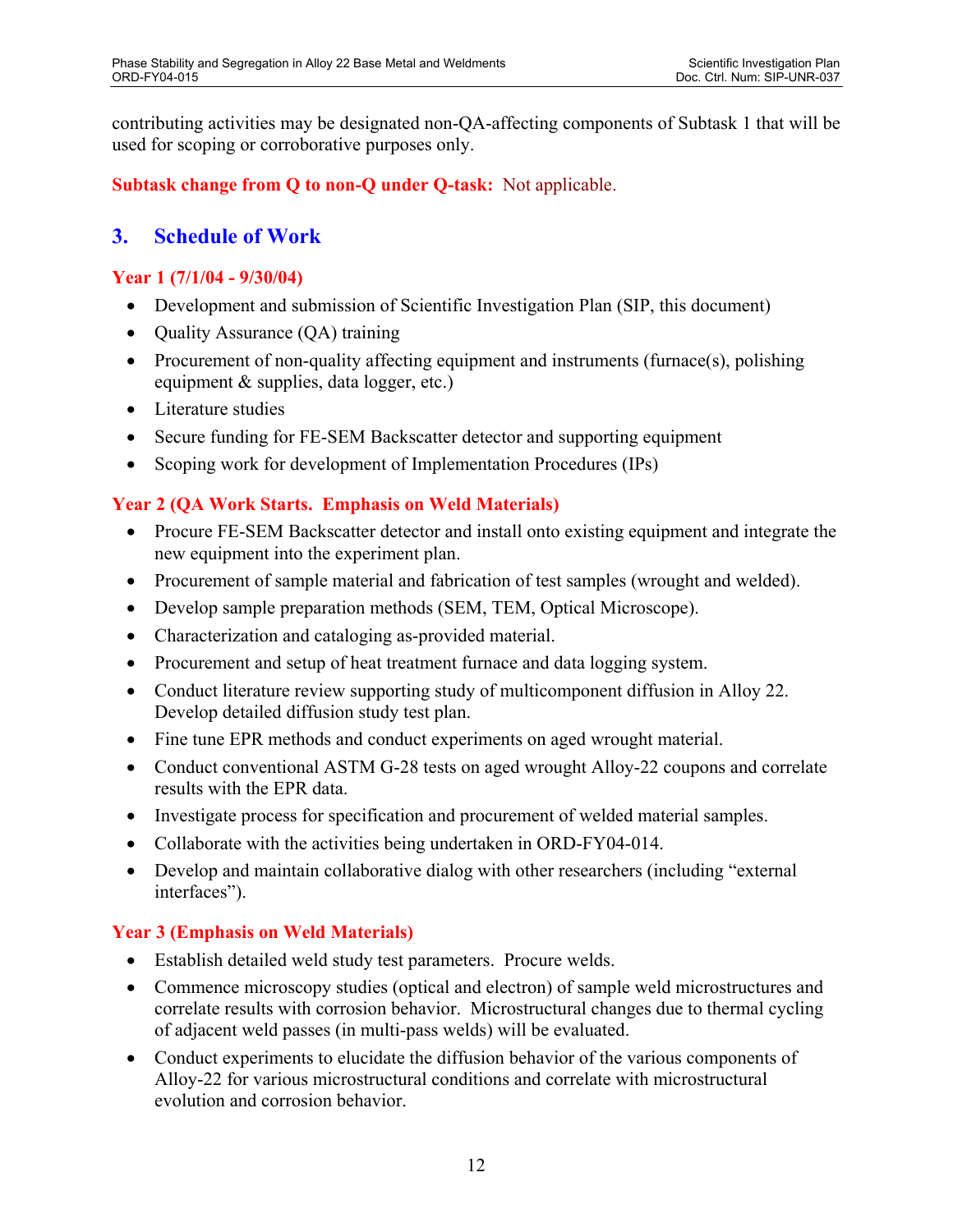contributing activities may be designated non-QA-affecting components of Subtask 1 that will be used for scoping or corroborative purposes only.

### **Subtask change from Q to non-Q under Q-task:** Not applicable.

## **3. Schedule of Work**

#### **Year 1 (7/1/04 - 9/30/04)**

- Development and submission of Scientific Investigation Plan (SIP, this document)
- Quality Assurance (QA) training
- Procurement of non-quality affecting equipment and instruments (furnace(s), polishing equipment & supplies, data logger, etc.)
- Literature studies
- Secure funding for FE-SEM Backscatter detector and supporting equipment
- Scoping work for development of Implementation Procedures (IPs)

### **Year 2 (QA Work Starts. Emphasis on Weld Materials)**

- Procure FE-SEM Backscatter detector and install onto existing equipment and integrate the new equipment into the experiment plan.
- Procurement of sample material and fabrication of test samples (wrought and welded).
- Develop sample preparation methods (SEM, TEM, Optical Microscope).
- Characterization and cataloging as-provided material.
- Procurement and setup of heat treatment furnace and data logging system.
- Conduct literature review supporting study of multicomponent diffusion in Alloy 22. Develop detailed diffusion study test plan.
- Fine tune EPR methods and conduct experiments on aged wrought material.
- Conduct conventional ASTM G-28 tests on aged wrought Alloy-22 coupons and correlate results with the EPR data.
- Investigate process for specification and procurement of welded material samples.
- Collaborate with the activities being undertaken in ORD-FY04-014.
- Develop and maintain collaborative dialog with other researchers (including "external interfaces").

### **Year 3 (Emphasis on Weld Materials)**

- Establish detailed weld study test parameters. Procure welds.
- Commence microscopy studies (optical and electron) of sample weld microstructures and correlate results with corrosion behavior. Microstructural changes due to thermal cycling of adjacent weld passes (in multi-pass welds) will be evaluated.
- Conduct experiments to elucidate the diffusion behavior of the various components of Alloy-22 for various microstructural conditions and correlate with microstructural evolution and corrosion behavior.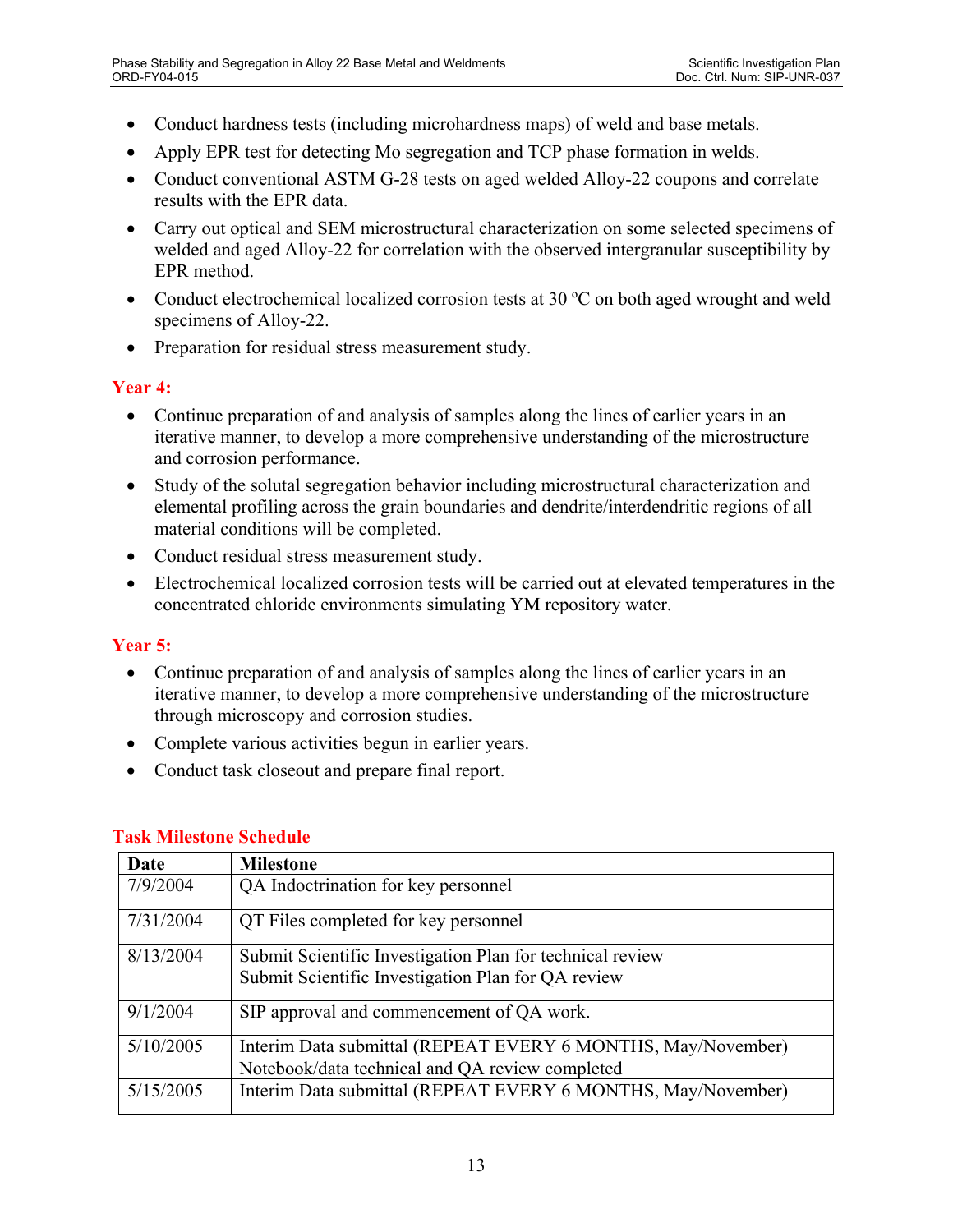- Conduct hardness tests (including microhardness maps) of weld and base metals.
- Apply EPR test for detecting Mo segregation and TCP phase formation in welds.
- Conduct conventional ASTM G-28 tests on aged welded Alloy-22 coupons and correlate results with the EPR data.
- Carry out optical and SEM microstructural characterization on some selected specimens of welded and aged Alloy-22 for correlation with the observed intergranular susceptibility by EPR method.
- Conduct electrochemical localized corrosion tests at 30 °C on both aged wrought and weld specimens of Alloy-22.
- Preparation for residual stress measurement study.

### **Year 4:**

- Continue preparation of and analysis of samples along the lines of earlier years in an iterative manner, to develop a more comprehensive understanding of the microstructure and corrosion performance.
- Study of the solutal segregation behavior including microstructural characterization and elemental profiling across the grain boundaries and dendrite/interdendritic regions of all material conditions will be completed.
- Conduct residual stress measurement study.
- Electrochemical localized corrosion tests will be carried out at elevated temperatures in the concentrated chloride environments simulating YM repository water.

#### **Year 5:**

- Continue preparation of and analysis of samples along the lines of earlier years in an iterative manner, to develop a more comprehensive understanding of the microstructure through microscopy and corrosion studies.
- Complete various activities begun in earlier years.
- Conduct task closeout and prepare final report.

| Date      | <b>Milestone</b>                                             |
|-----------|--------------------------------------------------------------|
| 7/9/2004  | QA Indoctrination for key personnel                          |
| 7/31/2004 | QT Files completed for key personnel                         |
| 8/13/2004 | Submit Scientific Investigation Plan for technical review    |
|           | Submit Scientific Investigation Plan for QA review           |
| 9/1/2004  | SIP approval and commencement of QA work.                    |
| 5/10/2005 | Interim Data submittal (REPEAT EVERY 6 MONTHS, May/November) |
|           | Notebook/data technical and QA review completed              |
| 5/15/2005 | Interim Data submittal (REPEAT EVERY 6 MONTHS, May/November) |

#### **Task Milestone Schedule**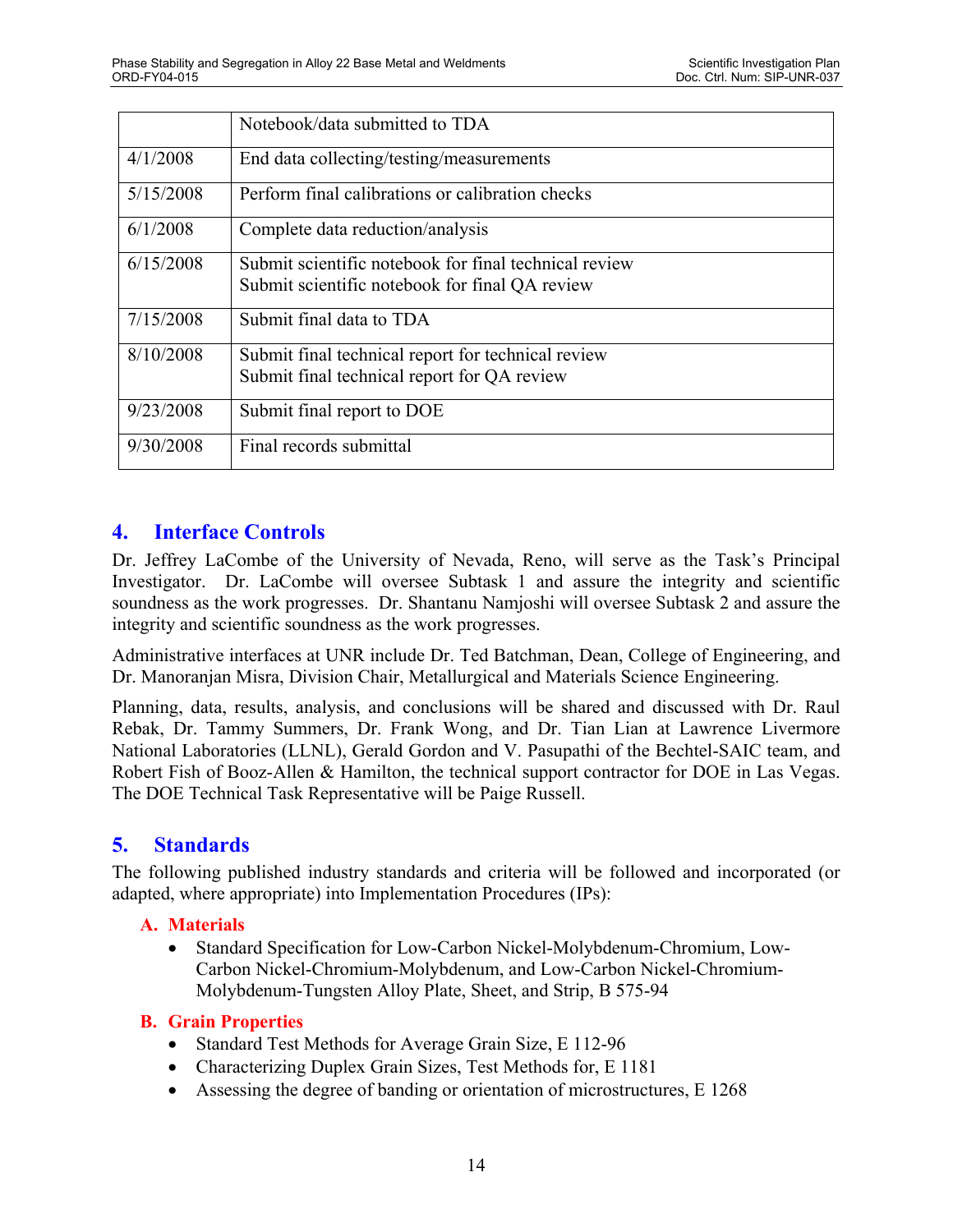|           | Notebook/data submitted to TDA                                                                          |
|-----------|---------------------------------------------------------------------------------------------------------|
| 4/1/2008  | End data collecting/testing/measurements                                                                |
| 5/15/2008 | Perform final calibrations or calibration checks                                                        |
| 6/1/2008  | Complete data reduction/analysis                                                                        |
| 6/15/2008 | Submit scientific notebook for final technical review<br>Submit scientific notebook for final QA review |
| 7/15/2008 | Submit final data to TDA                                                                                |
| 8/10/2008 | Submit final technical report for technical review<br>Submit final technical report for QA review       |
| 9/23/2008 | Submit final report to DOE                                                                              |
| 9/30/2008 | Final records submittal                                                                                 |

## **4. Interface Controls**

Dr. Jeffrey LaCombe of the University of Nevada, Reno, will serve as the Task's Principal Investigator. Dr. LaCombe will oversee Subtask 1 and assure the integrity and scientific soundness as the work progresses. Dr. Shantanu Namjoshi will oversee Subtask 2 and assure the integrity and scientific soundness as the work progresses.

Administrative interfaces at UNR include Dr. Ted Batchman, Dean, College of Engineering, and Dr. Manoranjan Misra, Division Chair, Metallurgical and Materials Science Engineering.

Planning, data, results, analysis, and conclusions will be shared and discussed with Dr. Raul Rebak, Dr. Tammy Summers, Dr. Frank Wong, and Dr. Tian Lian at Lawrence Livermore National Laboratories (LLNL), Gerald Gordon and V. Pasupathi of the Bechtel-SAIC team, and Robert Fish of Booz-Allen & Hamilton, the technical support contractor for DOE in Las Vegas. The DOE Technical Task Representative will be Paige Russell.

# **5. Standards**

The following published industry standards and criteria will be followed and incorporated (or adapted, where appropriate) into Implementation Procedures (IPs):

### **A. Materials**

• Standard Specification for Low-Carbon Nickel-Molybdenum-Chromium, Low-Carbon Nickel-Chromium-Molybdenum, and Low-Carbon Nickel-Chromium-Molybdenum-Tungsten Alloy Plate, Sheet, and Strip, B 575-94

### **B. Grain Properties**

- Standard Test Methods for Average Grain Size, E 112-96
- Characterizing Duplex Grain Sizes, Test Methods for, E 1181
- Assessing the degree of banding or orientation of microstructures, E 1268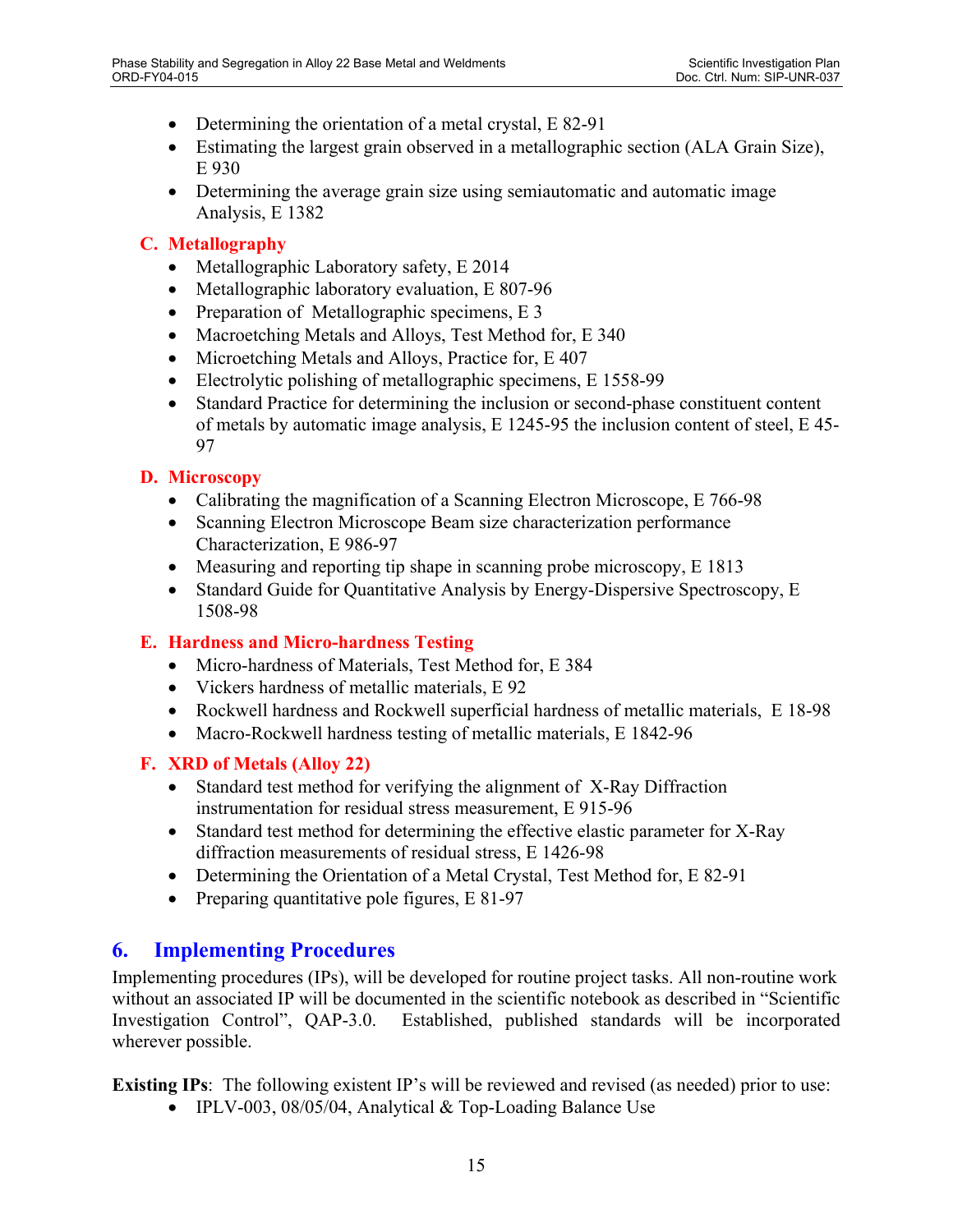- Determining the orientation of a metal crystal, E 82-91
- Estimating the largest grain observed in a metallographic section (ALA Grain Size), E 930
- Determining the average grain size using semiautomatic and automatic image Analysis, E 1382

### **C. Metallography**

- Metallographic Laboratory safety, E 2014
- Metallographic laboratory evaluation, E 807-96
- Preparation of Metallographic specimens, E 3
- Macroetching Metals and Alloys, Test Method for, E 340
- Microetching Metals and Alloys, Practice for, E 407
- Electrolytic polishing of metallographic specimens, E 1558-99
- Standard Practice for determining the inclusion or second-phase constituent content of metals by automatic image analysis, E 1245-95 the inclusion content of steel, E 45- 97

### **D. Microscopy**

- Calibrating the magnification of a Scanning Electron Microscope, E 766-98
- Scanning Electron Microscope Beam size characterization performance Characterization, E 986-97
- Measuring and reporting tip shape in scanning probe microscopy, E 1813
- Standard Guide for Quantitative Analysis by Energy-Dispersive Spectroscopy, E 1508-98

#### **E. Hardness and Micro-hardness Testing**

- Micro-hardness of Materials, Test Method for, E 384
- Vickers hardness of metallic materials, E 92
- Rockwell hardness and Rockwell superficial hardness of metallic materials, E 18-98
- Macro-Rockwell hardness testing of metallic materials, E 1842-96

### **F. XRD of Metals (Alloy 22)**

- Standard test method for verifying the alignment of X-Ray Diffraction instrumentation for residual stress measurement, E 915-96
- Standard test method for determining the effective elastic parameter for X-Ray diffraction measurements of residual stress, E 1426-98
- Determining the Orientation of a Metal Crystal, Test Method for, E 82-91
- Preparing quantitative pole figures, E 81-97

### **6. Implementing Procedures**

Implementing procedures (IPs), will be developed for routine project tasks. All non-routine work without an associated IP will be documented in the scientific notebook as described in "Scientific Investigation Control", QAP-3.0. Established, published standards will be incorporated wherever possible.

**Existing IPs**: The following existent IP's will be reviewed and revised (as needed) prior to use:

• IPLV-003, 08/05/04, Analytical & Top-Loading Balance Use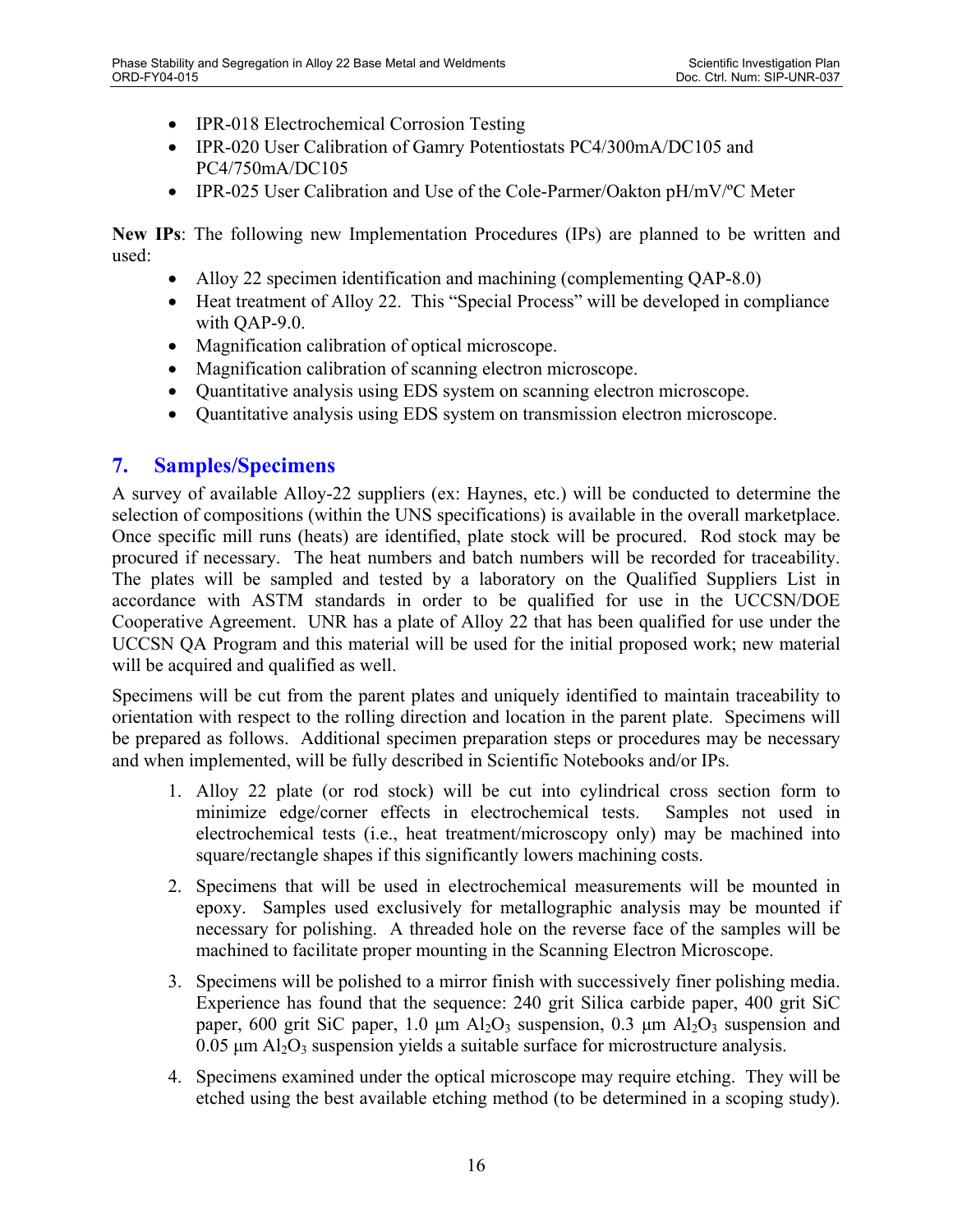- IPR-018 Electrochemical Corrosion Testing
- IPR-020 User Calibration of Gamry Potentiostats PC4/300mA/DC105 and PC4/750mA/DC105
- IPR-025 User Calibration and Use of the Cole-Parmer/Oakton pH/mV/°C Meter

**New IPs**: The following new Implementation Procedures (IPs) are planned to be written and used:

- Alloy 22 specimen identification and machining (complementing QAP-8.0)
- Heat treatment of Alloy 22. This "Special Process" will be developed in compliance with QAP-9.0.
- Magnification calibration of optical microscope.
- Magnification calibration of scanning electron microscope.
- Quantitative analysis using EDS system on scanning electron microscope.
- Quantitative analysis using EDS system on transmission electron microscope.

### **7. Samples/Specimens**

A survey of available Alloy-22 suppliers (ex: Haynes, etc.) will be conducted to determine the selection of compositions (within the UNS specifications) is available in the overall marketplace. Once specific mill runs (heats) are identified, plate stock will be procured. Rod stock may be procured if necessary. The heat numbers and batch numbers will be recorded for traceability. The plates will be sampled and tested by a laboratory on the Qualified Suppliers List in accordance with ASTM standards in order to be qualified for use in the UCCSN/DOE Cooperative Agreement. UNR has a plate of Alloy 22 that has been qualified for use under the UCCSN QA Program and this material will be used for the initial proposed work; new material will be acquired and qualified as well.

Specimens will be cut from the parent plates and uniquely identified to maintain traceability to orientation with respect to the rolling direction and location in the parent plate. Specimens will be prepared as follows. Additional specimen preparation steps or procedures may be necessary and when implemented, will be fully described in Scientific Notebooks and/or IPs.

- 1. Alloy 22 plate (or rod stock) will be cut into cylindrical cross section form to minimize edge/corner effects in electrochemical tests. Samples not used in electrochemical tests (i.e., heat treatment/microscopy only) may be machined into square/rectangle shapes if this significantly lowers machining costs.
- 2. Specimens that will be used in electrochemical measurements will be mounted in epoxy. Samples used exclusively for metallographic analysis may be mounted if necessary for polishing. A threaded hole on the reverse face of the samples will be machined to facilitate proper mounting in the Scanning Electron Microscope.
- 3. Specimens will be polished to a mirror finish with successively finer polishing media. Experience has found that the sequence: 240 grit Silica carbide paper, 400 grit SiC paper, 600 grit SiC paper, 1.0  $\mu$ m Al<sub>2</sub>O<sub>3</sub> suspension, 0.3  $\mu$ m Al<sub>2</sub>O<sub>3</sub> suspension and  $0.05 \mu m$  Al<sub>2</sub>O<sub>3</sub> suspension yields a suitable surface for microstructure analysis.
- 4. Specimens examined under the optical microscope may require etching. They will be etched using the best available etching method (to be determined in a scoping study).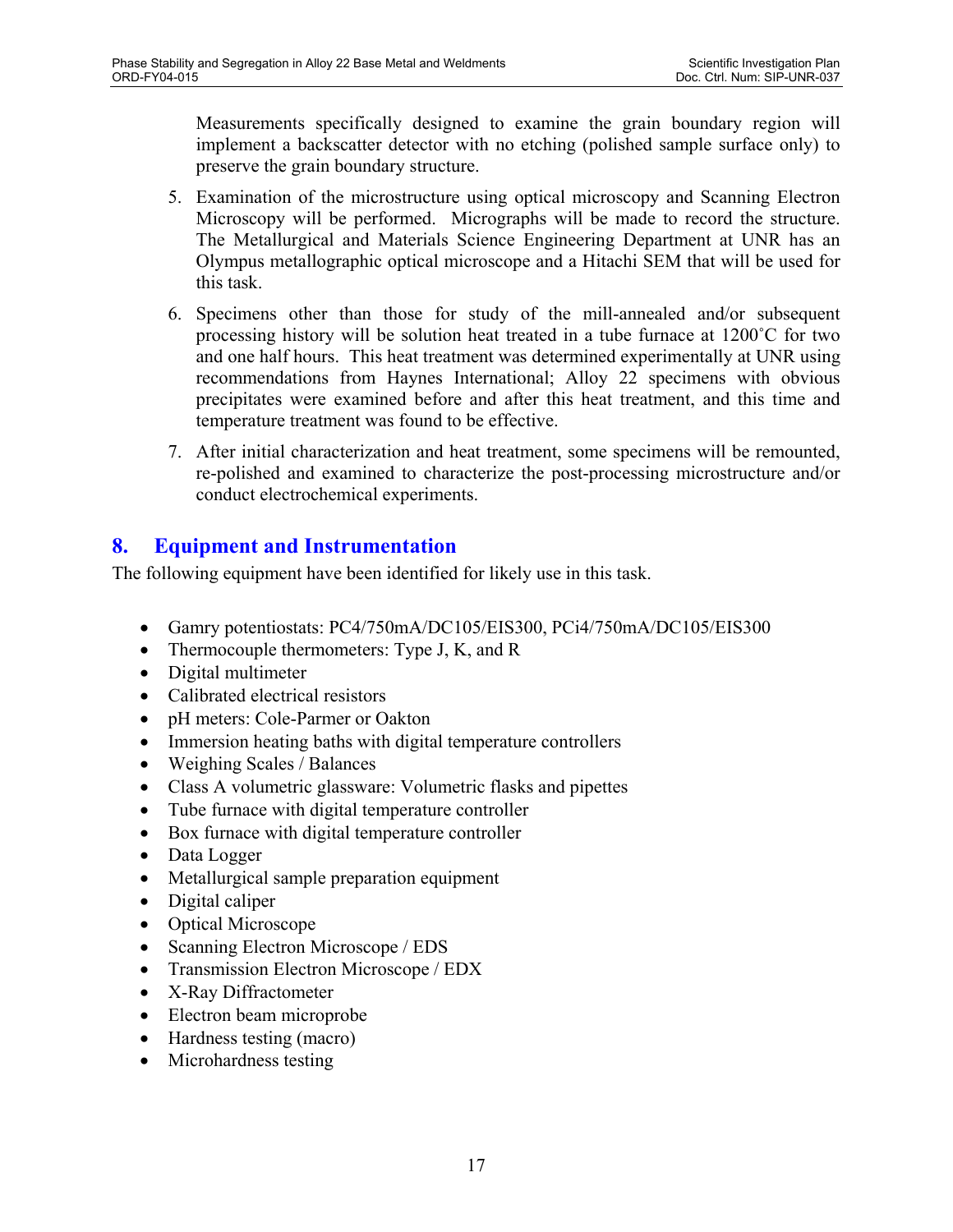Measurements specifically designed to examine the grain boundary region will implement a backscatter detector with no etching (polished sample surface only) to preserve the grain boundary structure.

- 5. Examination of the microstructure using optical microscopy and Scanning Electron Microscopy will be performed. Micrographs will be made to record the structure. The Metallurgical and Materials Science Engineering Department at UNR has an Olympus metallographic optical microscope and a Hitachi SEM that will be used for this task.
- 6. Specimens other than those for study of the mill-annealed and/or subsequent processing history will be solution heat treated in a tube furnace at 1200˚C for two and one half hours. This heat treatment was determined experimentally at UNR using recommendations from Haynes International; Alloy 22 specimens with obvious precipitates were examined before and after this heat treatment, and this time and temperature treatment was found to be effective.
- 7. After initial characterization and heat treatment, some specimens will be remounted, re-polished and examined to characterize the post-processing microstructure and/or conduct electrochemical experiments.

# **8. Equipment and Instrumentation**

The following equipment have been identified for likely use in this task.

- Gamry potentiostats: PC4/750mA/DC105/EIS300, PCi4/750mA/DC105/EIS300
- Thermocouple thermometers: Type J, K, and R
- Digital multimeter
- Calibrated electrical resistors
- pH meters: Cole-Parmer or Oakton
- Immersion heating baths with digital temperature controllers
- Weighing Scales / Balances
- Class A volumetric glassware: Volumetric flasks and pipettes
- Tube furnace with digital temperature controller
- Box furnace with digital temperature controller
- Data Logger
- Metallurgical sample preparation equipment
- Digital caliper
- Optical Microscope
- Scanning Electron Microscope / EDS
- Transmission Electron Microscope / EDX
- X-Ray Diffractometer
- Electron beam microprobe
- Hardness testing (macro)
- Microhardness testing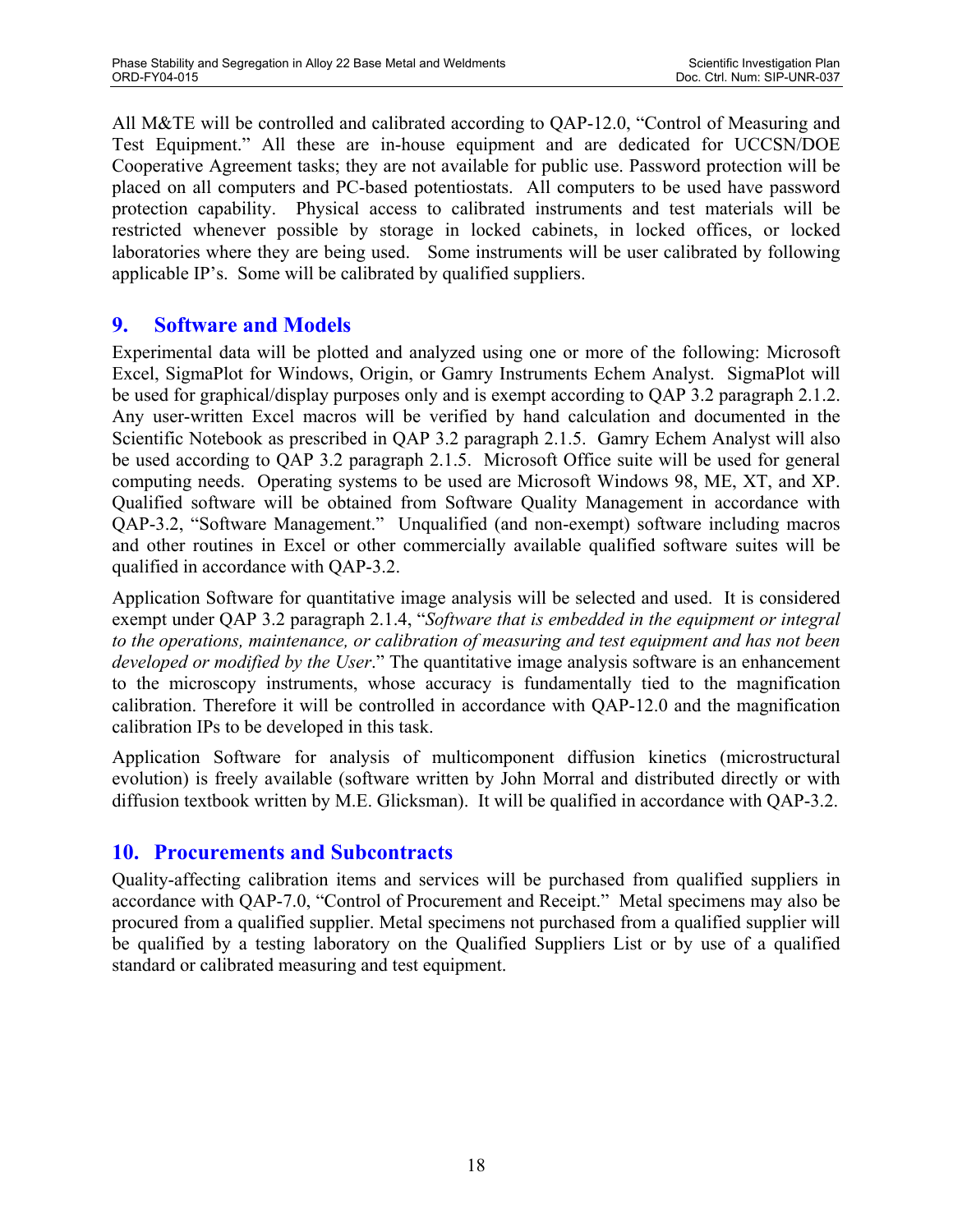All M&TE will be controlled and calibrated according to QAP-12.0, "Control of Measuring and Test Equipment." All these are in-house equipment and are dedicated for UCCSN/DOE Cooperative Agreement tasks; they are not available for public use. Password protection will be placed on all computers and PC-based potentiostats. All computers to be used have password protection capability. Physical access to calibrated instruments and test materials will be restricted whenever possible by storage in locked cabinets, in locked offices, or locked laboratories where they are being used. Some instruments will be user calibrated by following applicable IP's. Some will be calibrated by qualified suppliers.

## **9. Software and Models**

Experimental data will be plotted and analyzed using one or more of the following: Microsoft Excel, SigmaPlot for Windows, Origin, or Gamry Instruments Echem Analyst. SigmaPlot will be used for graphical/display purposes only and is exempt according to QAP 3.2 paragraph 2.1.2. Any user-written Excel macros will be verified by hand calculation and documented in the Scientific Notebook as prescribed in QAP 3.2 paragraph 2.1.5. Gamry Echem Analyst will also be used according to QAP 3.2 paragraph 2.1.5. Microsoft Office suite will be used for general computing needs. Operating systems to be used are Microsoft Windows 98, ME, XT, and XP. Qualified software will be obtained from Software Quality Management in accordance with QAP-3.2, "Software Management." Unqualified (and non-exempt) software including macros and other routines in Excel or other commercially available qualified software suites will be qualified in accordance with QAP-3.2.

Application Software for quantitative image analysis will be selected and used. It is considered exempt under QAP 3.2 paragraph 2.1.4, "*Software that is embedded in the equipment or integral to the operations, maintenance, or calibration of measuring and test equipment and has not been developed or modified by the User*." The quantitative image analysis software is an enhancement to the microscopy instruments, whose accuracy is fundamentally tied to the magnification calibration. Therefore it will be controlled in accordance with QAP-12.0 and the magnification calibration IPs to be developed in this task.

Application Software for analysis of multicomponent diffusion kinetics (microstructural evolution) is freely available (software written by John Morral and distributed directly or with diffusion textbook written by M.E. Glicksman). It will be qualified in accordance with QAP-3.2.

### **10. Procurements and Subcontracts**

Quality-affecting calibration items and services will be purchased from qualified suppliers in accordance with QAP-7.0, "Control of Procurement and Receipt." Metal specimens may also be procured from a qualified supplier. Metal specimens not purchased from a qualified supplier will be qualified by a testing laboratory on the Qualified Suppliers List or by use of a qualified standard or calibrated measuring and test equipment.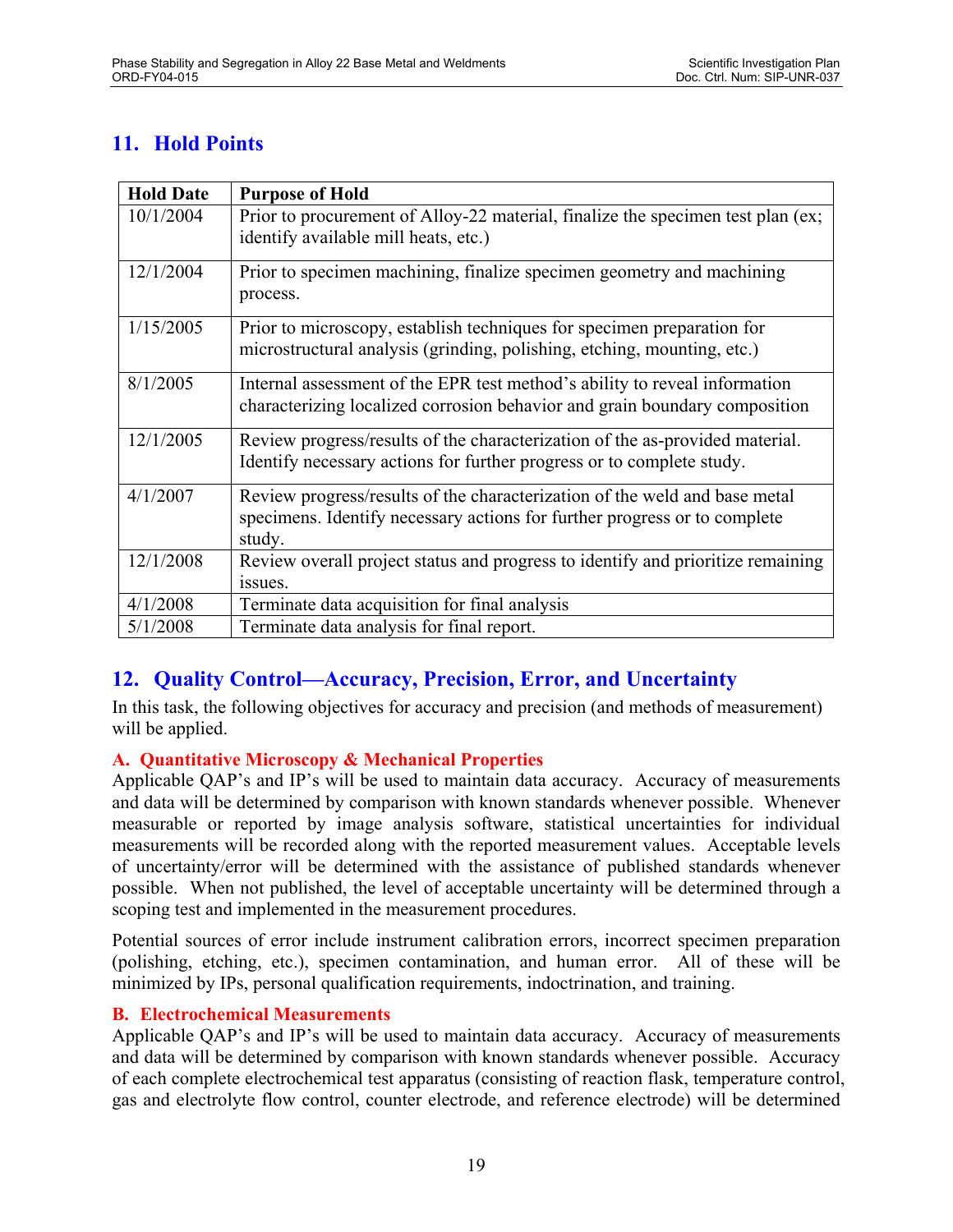# **11. Hold Points**

| <b>Hold Date</b> | <b>Purpose of Hold</b>                                                                                                                                            |
|------------------|-------------------------------------------------------------------------------------------------------------------------------------------------------------------|
| 10/1/2004        | Prior to procurement of Alloy-22 material, finalize the specimen test plan (ex;<br>identify available mill heats, etc.)                                           |
| 12/1/2004        | Prior to specimen machining, finalize specimen geometry and machining<br>process.                                                                                 |
| 1/15/2005        | Prior to microscopy, establish techniques for specimen preparation for<br>microstructural analysis (grinding, polishing, etching, mounting, etc.)                 |
| 8/1/2005         | Internal assessment of the EPR test method's ability to reveal information<br>characterizing localized corrosion behavior and grain boundary composition          |
| 12/1/2005        | Review progress/results of the characterization of the as-provided material.<br>Identify necessary actions for further progress or to complete study.             |
| 4/1/2007         | Review progress/results of the characterization of the weld and base metal<br>specimens. Identify necessary actions for further progress or to complete<br>study. |
| 12/1/2008        | Review overall project status and progress to identify and prioritize remaining<br>issues.                                                                        |
| 4/1/2008         | Terminate data acquisition for final analysis                                                                                                                     |
| 5/1/2008         | Terminate data analysis for final report.                                                                                                                         |

# **12. Quality Control—Accuracy, Precision, Error, and Uncertainty**

In this task, the following objectives for accuracy and precision (and methods of measurement) will be applied.

### **A. Quantitative Microscopy & Mechanical Properties**

Applicable QAP's and IP's will be used to maintain data accuracy. Accuracy of measurements and data will be determined by comparison with known standards whenever possible. Whenever measurable or reported by image analysis software, statistical uncertainties for individual measurements will be recorded along with the reported measurement values. Acceptable levels of uncertainty/error will be determined with the assistance of published standards whenever possible. When not published, the level of acceptable uncertainty will be determined through a scoping test and implemented in the measurement procedures.

Potential sources of error include instrument calibration errors, incorrect specimen preparation (polishing, etching, etc.), specimen contamination, and human error. All of these will be minimized by IPs, personal qualification requirements, indoctrination, and training.

#### **B. Electrochemical Measurements**

Applicable QAP's and IP's will be used to maintain data accuracy. Accuracy of measurements and data will be determined by comparison with known standards whenever possible. Accuracy of each complete electrochemical test apparatus (consisting of reaction flask, temperature control, gas and electrolyte flow control, counter electrode, and reference electrode) will be determined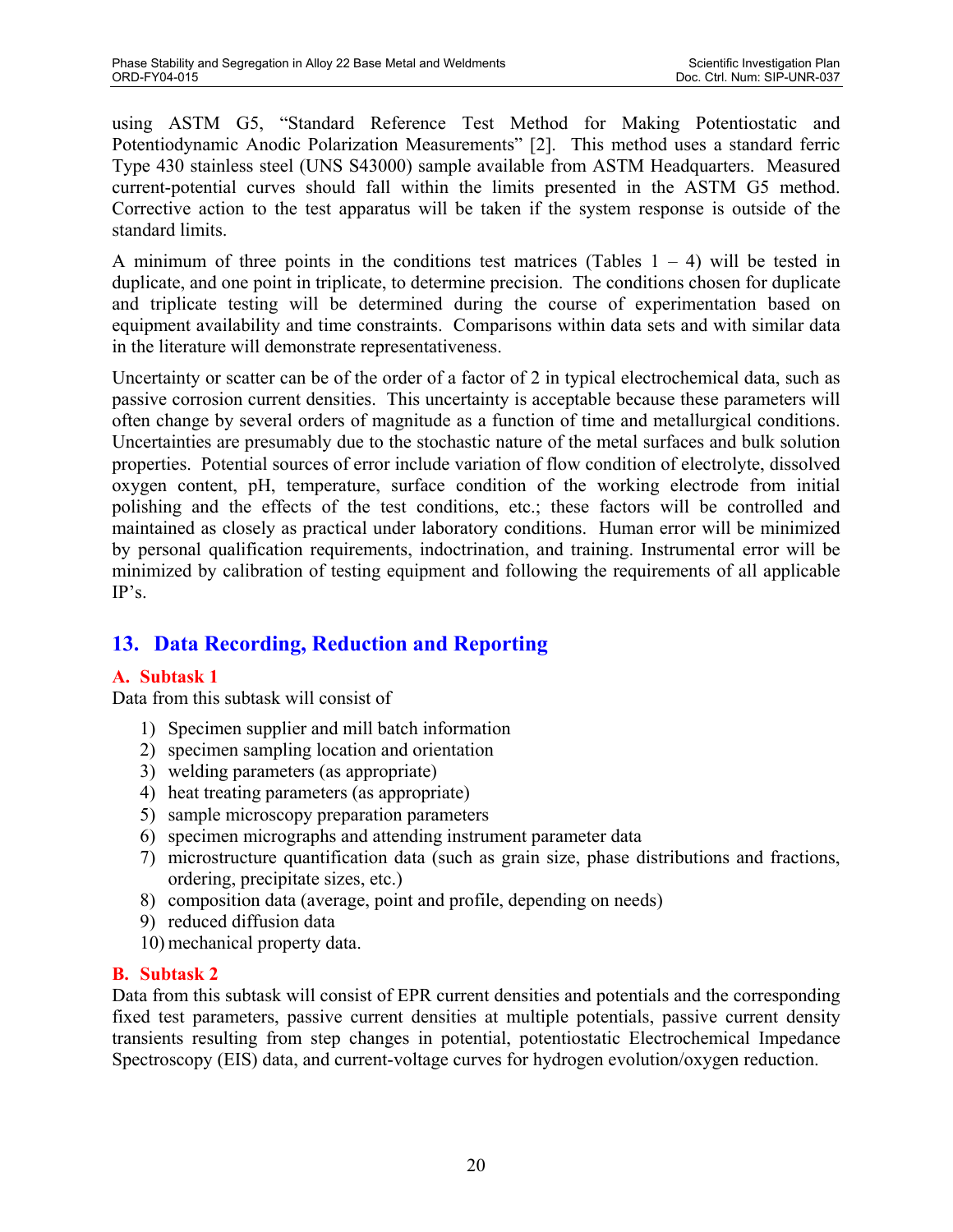using ASTM G5, "Standard Reference Test Method for Making Potentiostatic and Potentiodynamic Anodic Polarization Measurements" [2]. This method uses a standard ferric Type 430 stainless steel (UNS S43000) sample available from ASTM Headquarters. Measured current-potential curves should fall within the limits presented in the ASTM G5 method. Corrective action to the test apparatus will be taken if the system response is outside of the standard limits.

A minimum of three points in the conditions test matrices (Tables  $1 - 4$ ) will be tested in duplicate, and one point in triplicate, to determine precision. The conditions chosen for duplicate and triplicate testing will be determined during the course of experimentation based on equipment availability and time constraints. Comparisons within data sets and with similar data in the literature will demonstrate representativeness.

Uncertainty or scatter can be of the order of a factor of 2 in typical electrochemical data, such as passive corrosion current densities. This uncertainty is acceptable because these parameters will often change by several orders of magnitude as a function of time and metallurgical conditions. Uncertainties are presumably due to the stochastic nature of the metal surfaces and bulk solution properties. Potential sources of error include variation of flow condition of electrolyte, dissolved oxygen content, pH, temperature, surface condition of the working electrode from initial polishing and the effects of the test conditions, etc.; these factors will be controlled and maintained as closely as practical under laboratory conditions. Human error will be minimized by personal qualification requirements, indoctrination, and training. Instrumental error will be minimized by calibration of testing equipment and following the requirements of all applicable IP's.

# **13. Data Recording, Reduction and Reporting**

### **A. Subtask 1**

Data from this subtask will consist of

- 1) Specimen supplier and mill batch information
- 2) specimen sampling location and orientation
- 3) welding parameters (as appropriate)
- 4) heat treating parameters (as appropriate)
- 5) sample microscopy preparation parameters
- 6) specimen micrographs and attending instrument parameter data
- 7) microstructure quantification data (such as grain size, phase distributions and fractions, ordering, precipitate sizes, etc.)
- 8) composition data (average, point and profile, depending on needs)
- 9) reduced diffusion data
- 10) mechanical property data.

# **B. Subtask 2**

Data from this subtask will consist of EPR current densities and potentials and the corresponding fixed test parameters, passive current densities at multiple potentials, passive current density transients resulting from step changes in potential, potentiostatic Electrochemical Impedance Spectroscopy (EIS) data, and current-voltage curves for hydrogen evolution/oxygen reduction.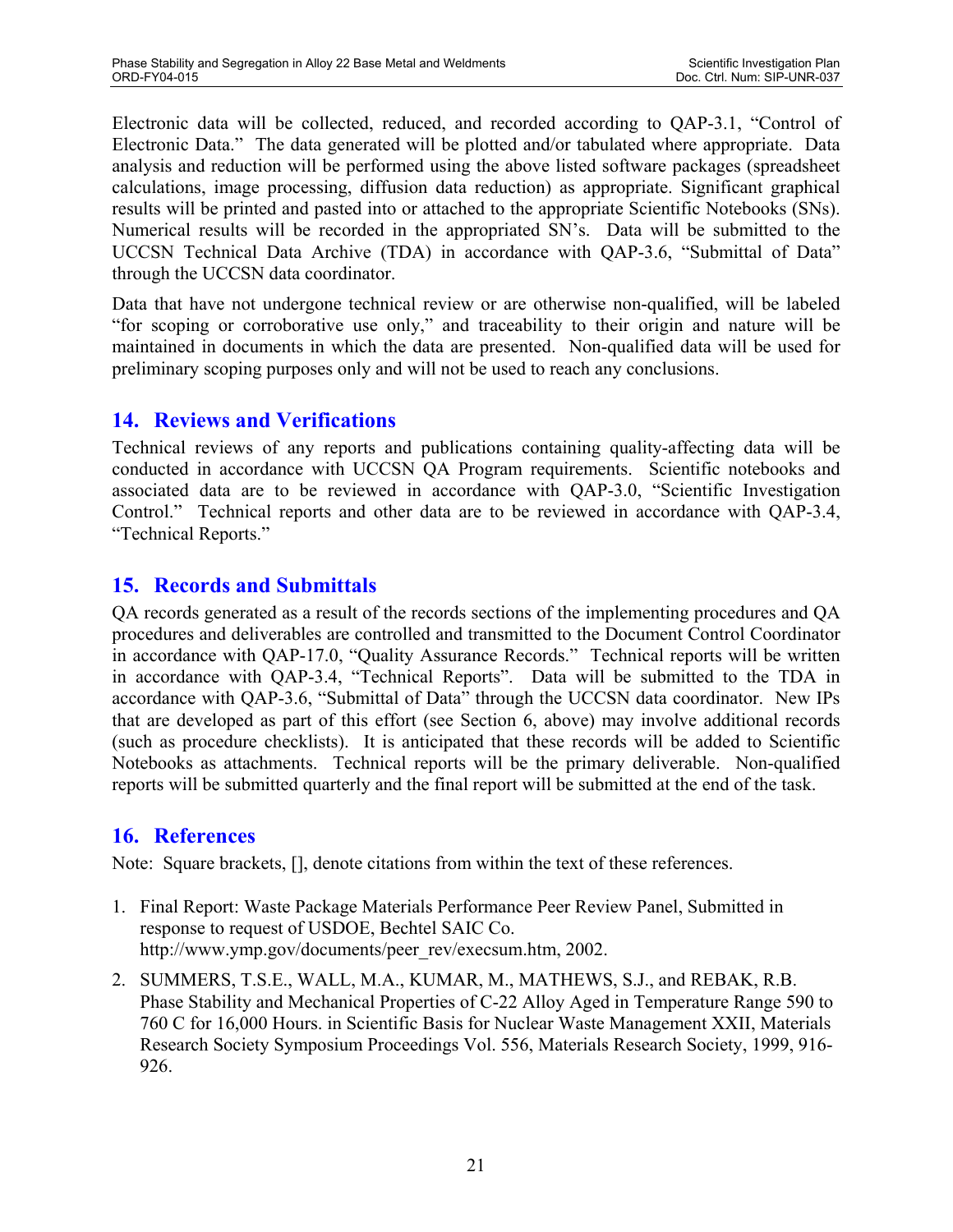Electronic data will be collected, reduced, and recorded according to QAP-3.1, "Control of Electronic Data." The data generated will be plotted and/or tabulated where appropriate. Data analysis and reduction will be performed using the above listed software packages (spreadsheet calculations, image processing, diffusion data reduction) as appropriate. Significant graphical results will be printed and pasted into or attached to the appropriate Scientific Notebooks (SNs). Numerical results will be recorded in the appropriated SN's. Data will be submitted to the UCCSN Technical Data Archive (TDA) in accordance with QAP-3.6, "Submittal of Data" through the UCCSN data coordinator.

Data that have not undergone technical review or are otherwise non-qualified, will be labeled "for scoping or corroborative use only," and traceability to their origin and nature will be maintained in documents in which the data are presented. Non-qualified data will be used for preliminary scoping purposes only and will not be used to reach any conclusions.

# **14. Reviews and Verifications**

Technical reviews of any reports and publications containing quality-affecting data will be conducted in accordance with UCCSN QA Program requirements. Scientific notebooks and associated data are to be reviewed in accordance with QAP-3.0, "Scientific Investigation Control." Technical reports and other data are to be reviewed in accordance with QAP-3.4, "Technical Reports."

# **15. Records and Submittals**

QA records generated as a result of the records sections of the implementing procedures and QA procedures and deliverables are controlled and transmitted to the Document Control Coordinator in accordance with QAP-17.0, "Quality Assurance Records." Technical reports will be written in accordance with QAP-3.4, "Technical Reports". Data will be submitted to the TDA in accordance with QAP-3.6, "Submittal of Data" through the UCCSN data coordinator. New IPs that are developed as part of this effort (see Section 6, above) may involve additional records (such as procedure checklists). It is anticipated that these records will be added to Scientific Notebooks as attachments. Technical reports will be the primary deliverable. Non-qualified reports will be submitted quarterly and the final report will be submitted at the end of the task.

# **16. References**

Note: Square brackets, [], denote citations from within the text of these references.

- 1. Final Report: Waste Package Materials Performance Peer Review Panel, Submitted in response to request of USDOE, Bechtel SAIC Co. http://www.ymp.gov/documents/peer\_rev/execsum.htm, 2002.
- 2. SUMMERS, T.S.E., WALL, M.A., KUMAR, M., MATHEWS, S.J., and REBAK, R.B. Phase Stability and Mechanical Properties of C-22 Alloy Aged in Temperature Range 590 to 760 C for 16,000 Hours. in Scientific Basis for Nuclear Waste Management XXII, Materials Research Society Symposium Proceedings Vol. 556, Materials Research Society, 1999, 916- 926.